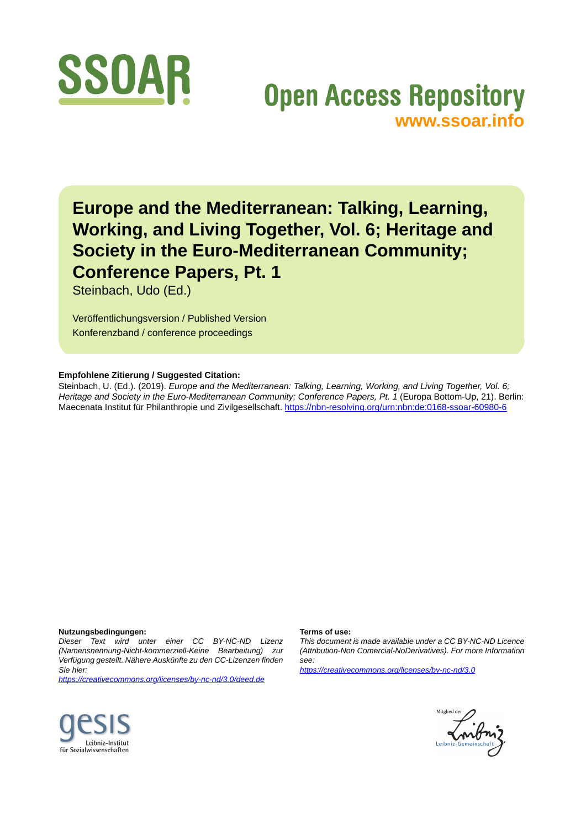

# **Open Access Repository [www.ssoar.info](http://www.ssoar.info)**

**Europe and the Mediterranean: Talking, Learning, Working, and Living Together, Vol. 6; Heritage and Society in the Euro-Mediterranean Community; Conference Papers, Pt. 1**

Steinbach, Udo (Ed.)

Veröffentlichungsversion / Published Version Konferenzband / conference proceedings

#### **Empfohlene Zitierung / Suggested Citation:**

Steinbach, U. (Ed.). (2019). *Europe and the Mediterranean: Talking, Learning, Working, and Living Together, Vol. 6; Heritage and Society in the Euro-Mediterranean Community; Conference Papers, Pt. 1* (Europa Bottom-Up, 21). Berlin: Maecenata Institut für Philanthropie und Zivilgesellschaft.<https://nbn-resolving.org/urn:nbn:de:0168-ssoar-60980-6>

#### **Nutzungsbedingungen:**

*Dieser Text wird unter einer CC BY-NC-ND Lizenz (Namensnennung-Nicht-kommerziell-Keine Bearbeitung) zur Verfügung gestellt. Nähere Auskünfte zu den CC-Lizenzen finden Sie hier:*

*<https://creativecommons.org/licenses/by-nc-nd/3.0/deed.de>*

#### **Terms of use:**

*This document is made available under a CC BY-NC-ND Licence (Attribution-Non Comercial-NoDerivatives). For more Information see:*

*<https://creativecommons.org/licenses/by-nc-nd/3.0>*



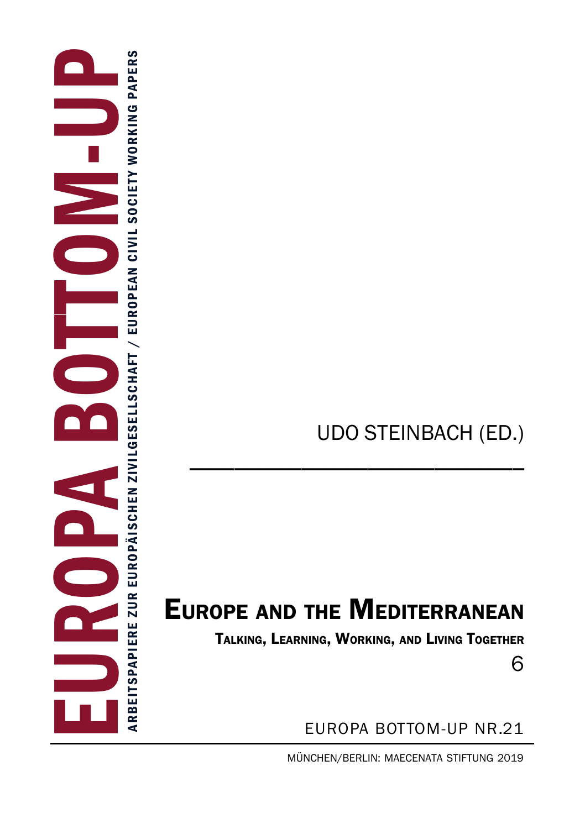# UDO STEINBACH (ED.)

# Europe and the Mediterranean

\_\_\_\_\_\_\_\_\_\_\_\_\_\_\_\_\_\_\_\_\_\_\_\_\_\_\_\_\_\_

Talking, Learning, Working, and Living Together

6

europa bottom-up Nr.21

müNcheN/berliN: maeceNata StiftuNg 2019

EUROPA BOTTOM-UP Arbeitspapiere zur europä i s c hen z i v i l gesel l s c h aft / European CIVIL SOCIETY WORKING PAPER ARBEITSPAPIERE ZUR EUROPÄISCHEN ZIVILGESELLSCHAFT / EUROPEAN CIVIL SOCIETY WORKING PAPERS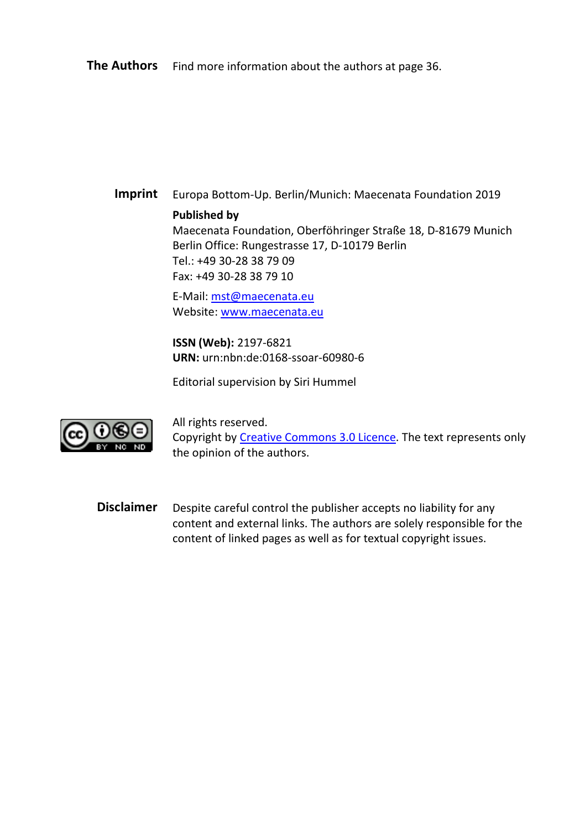**The Authors** Find more information about the authors at page 36.

**Imprint** Europa Bottom-Up. Berlin/Munich: Maecenata Foundation 2019

#### **Published by**

Maecenata Foundation, Oberföhringer Straße 18, D-81679 Munich Berlin Office: Rungestrasse 17, D-10179 Berlin Tel.: +49 30-28 38 79 09 Fax: +49 30-28 38 79 10

E-Mail[: mst@maecenata.eu](mailto:mst@maecenata.eu) Website[: www.maecenata.eu](http://www.maecenata.eu/)

**ISSN (Web):** 2197-6821 **URN:** urn:nbn:de:0168-ssoar-60980-6

Editorial supervision by Siri Hummel



All rights reserved. Copyright by [Creative Commons 3.0 Licence.](http://creativecommons.org/licenses/by-nc-nd/3.0/de/) The text represents only the opinion of the authors.

**Disclaimer** Despite careful control the publisher accepts no liability for any content and external links. The authors are solely responsible for the content of linked pages as well as for textual copyright issues.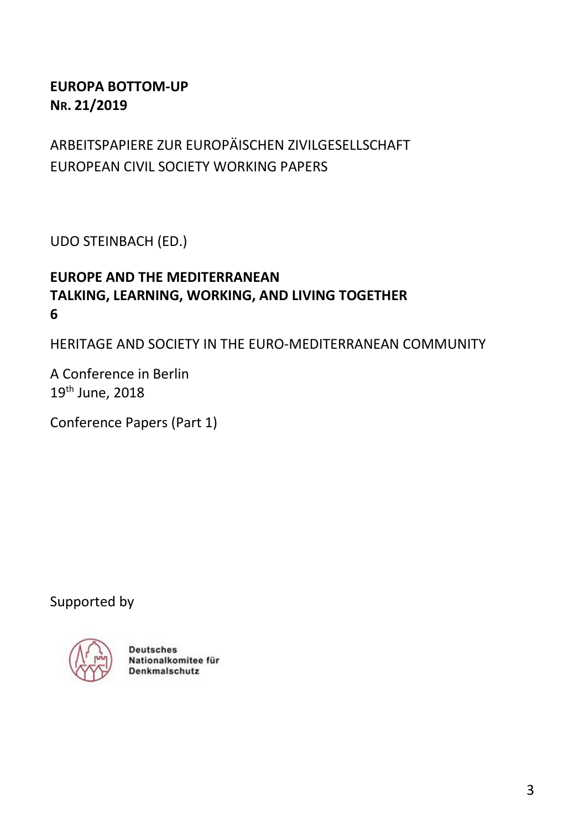#### **EUROPA BOTTOM-UP NR. 21/2019**

# ARBEITSPAPIERE ZUR EUROPÄISCHEN ZIVILGESELLSCHAFT EUROPEAN CIVIL SOCIETY WORKING PAPERS

UDO STEINBACH (ED.)

#### **EUROPE AND THE MEDITERRANEAN TALKING, LEARNING, WORKING, AND LIVING TOGETHER 6**

HERITAGE AND SOCIETY IN THE EURO-MEDITERRANEAN COMMUNITY

A Conference in Berlin 19th June, 2018

Conference Papers (Part 1)

Supported by



**Deutsches** Nationalkomitee für Denkmalschutz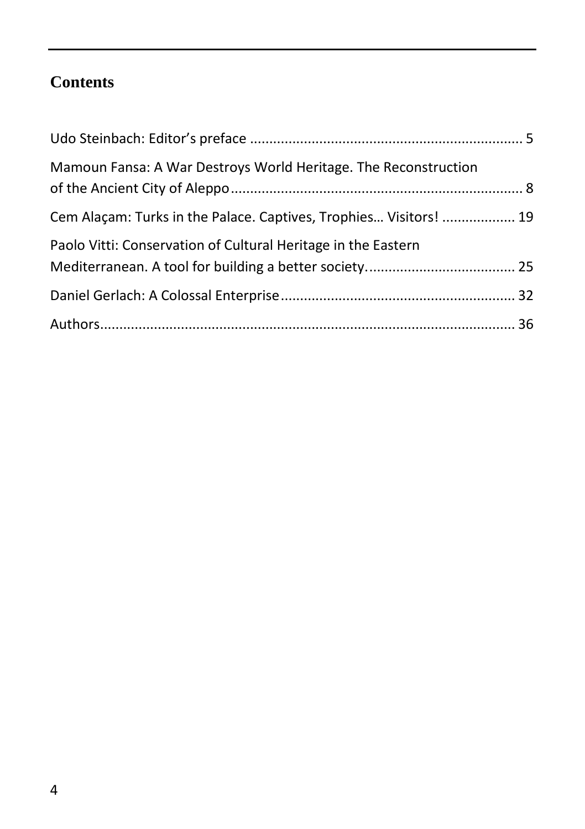# **Contents**

| Mamoun Fansa: A War Destroys World Heritage. The Reconstruction   |  |
|-------------------------------------------------------------------|--|
| Cem Alaçam: Turks in the Palace. Captives, Trophies Visitors!  19 |  |
| Paolo Vitti: Conservation of Cultural Heritage in the Eastern     |  |
|                                                                   |  |
|                                                                   |  |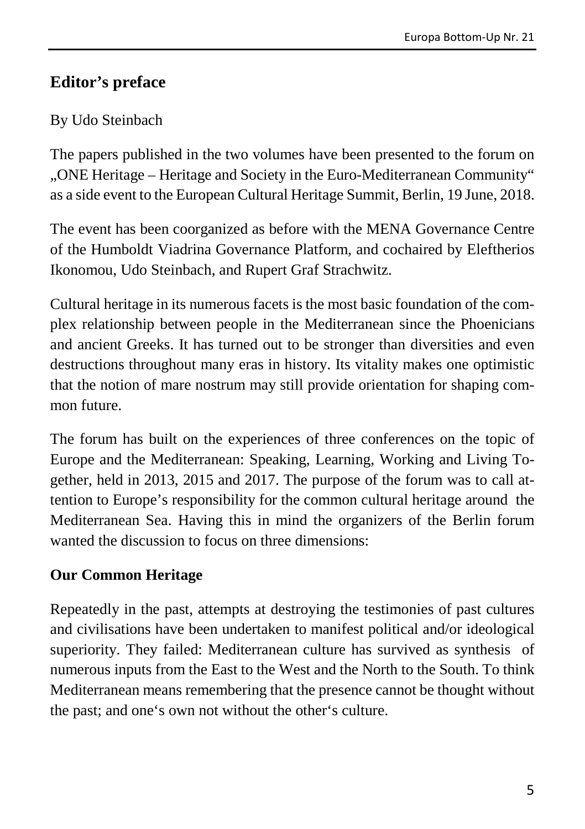## <span id="page-5-0"></span>**Editor's preface**

#### By Udo Steinbach

The papers published in the two volumes have been presented to the forum on "ONE Heritage – Heritage and Society in the Euro-Mediterranean Community" as a side event to the European Cultural Heritage Summit, Berlin, 19 June, 2018.

The event has been coorganized as before with the MENA Governance Centre of the Humboldt Viadrina Governance Platform, and cochaired by Eleftherios Ikonomou, Udo Steinbach, and Rupert Graf Strachwitz.

Cultural heritage in its numerous facets is the most basic foundation of the complex relationship between people in the Mediterranean since the Phoenicians and ancient Greeks. It has turned out to be stronger than diversities and even destructions throughout many eras in history. Its vitality makes one optimistic that the notion of mare nostrum may still provide orientation for shaping common future.

The forum has built on the experiences of three conferences on the topic of Europe and the Mediterranean: Speaking, Learning, Working and Living Together, held in 2013, 2015 and 2017. The purpose of the forum was to call attention to Europe's responsibility for the common cultural heritage around the Mediterranean Sea. Having this in mind the organizers of the Berlin forum wanted the discussion to focus on three dimensions:

#### **Our Common Heritage**

Repeatedly in the past, attempts at destroying the testimonies of past cultures and civilisations have been undertaken to manifest political and/or ideological superiority. They failed: Mediterranean culture has survived as synthesis of numerous inputs from the East to the West and the North to the South. To think Mediterranean means remembering that the presence cannot be thought without the past; and one's own not without the other's culture.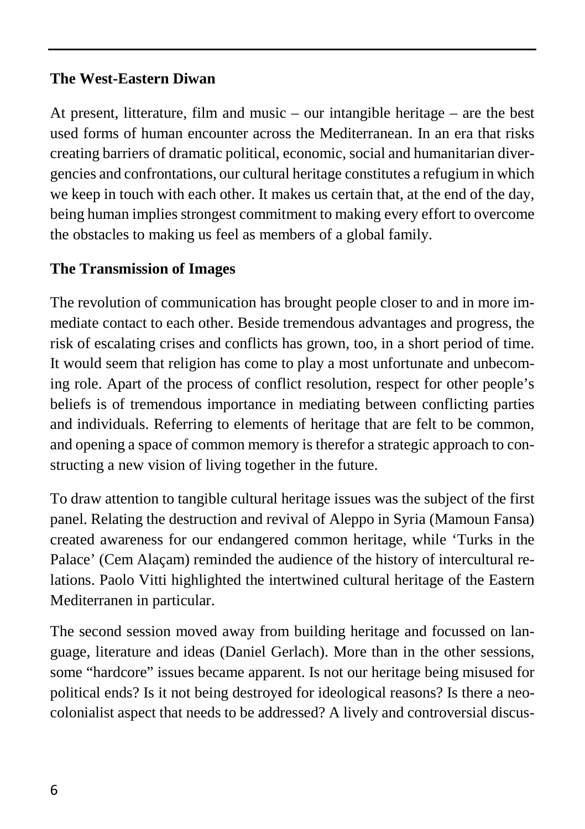#### **The West-Eastern Diwan**

At present, litterature, film and music – our intangible heritage – are the best used forms of human encounter across the Mediterranean. In an era that risks creating barriers of dramatic political, economic, social and humanitarian divergencies and confrontations, our cultural heritage constitutes a refugium in which we keep in touch with each other. It makes us certain that, at the end of the day, being human implies strongest commitment to making every effort to overcome the obstacles to making us feel as members of a global family.

#### **The Transmission of Images**

The revolution of communication has brought people closer to and in more immediate contact to each other. Beside tremendous advantages and progress, the risk of escalating crises and conflicts has grown, too, in a short period of time. It would seem that religion has come to play a most unfortunate and unbecoming role. Apart of the process of conflict resolution, respect for other people's beliefs is of tremendous importance in mediating between conflicting parties and individuals. Referring to elements of heritage that are felt to be common, and opening a space of common memory is therefor a strategic approach to constructing a new vision of living together in the future.

To draw attention to tangible cultural heritage issues was the subject of the first panel. Relating the destruction and revival of Aleppo in Syria (Mamoun Fansa) created awareness for our endangered common heritage, while 'Turks in the Palace' (Cem Alaçam) reminded the audience of the history of intercultural relations. Paolo Vitti highlighted the intertwined cultural heritage of the Eastern Mediterranen in particular.

The second session moved away from building heritage and focussed on language, literature and ideas (Daniel Gerlach). More than in the other sessions, some "hardcore" issues became apparent. Is not our heritage being misused for political ends? Is it not being destroyed for ideological reasons? Is there a neocolonialist aspect that needs to be addressed? A lively and controversial discus-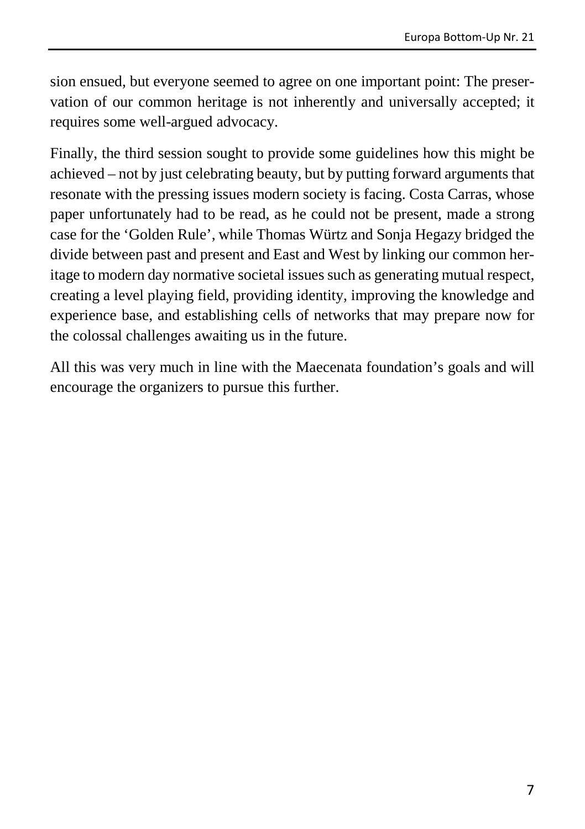sion ensued, but everyone seemed to agree on one important point: The preservation of our common heritage is not inherently and universally accepted; it requires some well-argued advocacy.

Finally, the third session sought to provide some guidelines how this might be achieved – not by just celebrating beauty, but by putting forward arguments that resonate with the pressing issues modern society is facing. Costa Carras, whose paper unfortunately had to be read, as he could not be present, made a strong case for the 'Golden Rule', while Thomas Würtz and Sonja Hegazy bridged the divide between past and present and East and West by linking our common heritage to modern day normative societal issues such as generating mutual respect, creating a level playing field, providing identity, improving the knowledge and experience base, and establishing cells of networks that may prepare now for the colossal challenges awaiting us in the future.

All this was very much in line with the Maecenata foundation's goals and will encourage the organizers to pursue this further.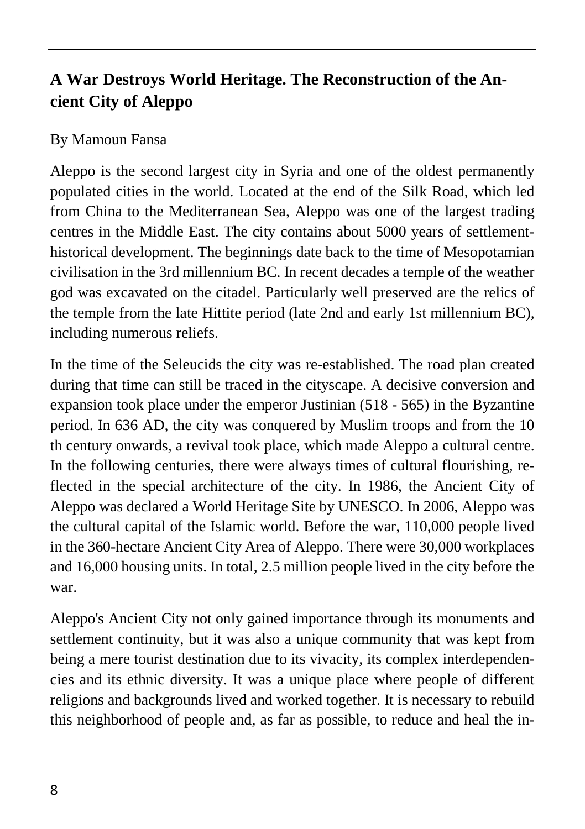# <span id="page-8-0"></span>**A War Destroys World Heritage. The Reconstruction of the Ancient City of Aleppo**

#### By Mamoun Fansa

Aleppo is the second largest city in Syria and one of the oldest permanently populated cities in the world. Located at the end of the Silk Road, which led from China to the Mediterranean Sea, Aleppo was one of the largest trading centres in the Middle East. The city contains about 5000 years of settlementhistorical development. The beginnings date back to the time of Mesopotamian civilisation in the 3rd millennium BC. In recent decades a temple of the weather god was excavated on the citadel. Particularly well preserved are the relics of the temple from the late Hittite period (late 2nd and early 1st millennium BC), including numerous reliefs.

In the time of the Seleucids the city was re-established. The road plan created during that time can still be traced in the cityscape. A decisive conversion and expansion took place under the emperor Justinian (518 - 565) in the Byzantine period. In 636 AD, the city was conquered by Muslim troops and from the 10 th century onwards, a revival took place, which made Aleppo a cultural centre. In the following centuries, there were always times of cultural flourishing, reflected in the special architecture of the city. In 1986, the Ancient City of Aleppo was declared a World Heritage Site by UNESCO. In 2006, Aleppo was the cultural capital of the Islamic world. Before the war, 110,000 people lived in the 360-hectare Ancient City Area of Aleppo. There were 30,000 workplaces and 16,000 housing units. In total, 2.5 million people lived in the city before the war.

Aleppo's Ancient City not only gained importance through its monuments and settlement continuity, but it was also a unique community that was kept from being a mere tourist destination due to its vivacity, its complex interdependencies and its ethnic diversity. It was a unique place where people of different religions and backgrounds lived and worked together. It is necessary to rebuild this neighborhood of people and, as far as possible, to reduce and heal the in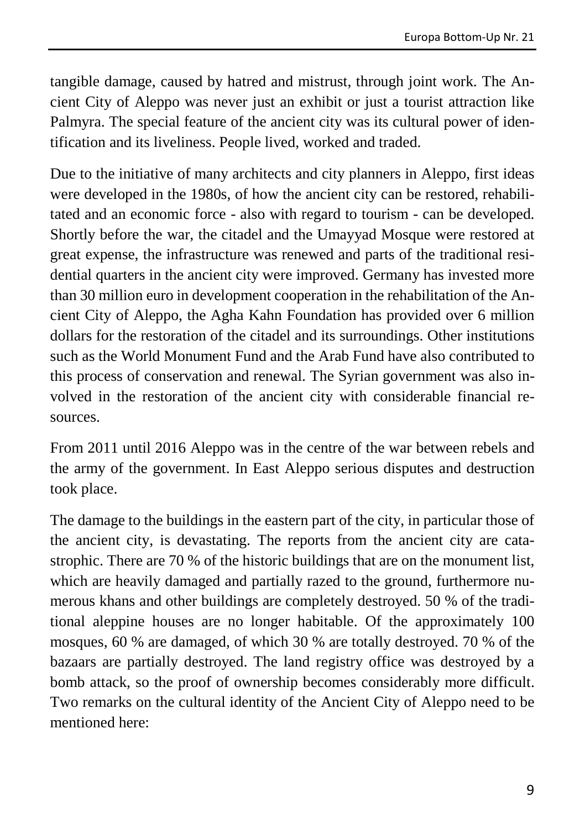tangible damage, caused by hatred and mistrust, through joint work. The Ancient City of Aleppo was never just an exhibit or just a tourist attraction like Palmyra. The special feature of the ancient city was its cultural power of identification and its liveliness. People lived, worked and traded.

Due to the initiative of many architects and city planners in Aleppo, first ideas were developed in the 1980s, of how the ancient city can be restored, rehabilitated and an economic force - also with regard to tourism - can be developed. Shortly before the war, the citadel and the Umayyad Mosque were restored at great expense, the infrastructure was renewed and parts of the traditional residential quarters in the ancient city were improved. Germany has invested more than 30 million euro in development cooperation in the rehabilitation of the Ancient City of Aleppo, the Agha Kahn Foundation has provided over 6 million dollars for the restoration of the citadel and its surroundings. Other institutions such as the World Monument Fund and the Arab Fund have also contributed to this process of conservation and renewal. The Syrian government was also involved in the restoration of the ancient city with considerable financial resources.

From 2011 until 2016 Aleppo was in the centre of the war between rebels and the army of the government. In East Aleppo serious disputes and destruction took place.

The damage to the buildings in the eastern part of the city, in particular those of the ancient city, is devastating. The reports from the ancient city are catastrophic. There are 70 % of the historic buildings that are on the monument list, which are heavily damaged and partially razed to the ground, furthermore numerous khans and other buildings are completely destroyed. 50 % of the traditional aleppine houses are no longer habitable. Of the approximately 100 mosques, 60 % are damaged, of which 30 % are totally destroyed. 70 % of the bazaars are partially destroyed. The land registry office was destroyed by a bomb attack, so the proof of ownership becomes considerably more difficult. Two remarks on the cultural identity of the Ancient City of Aleppo need to be mentioned here: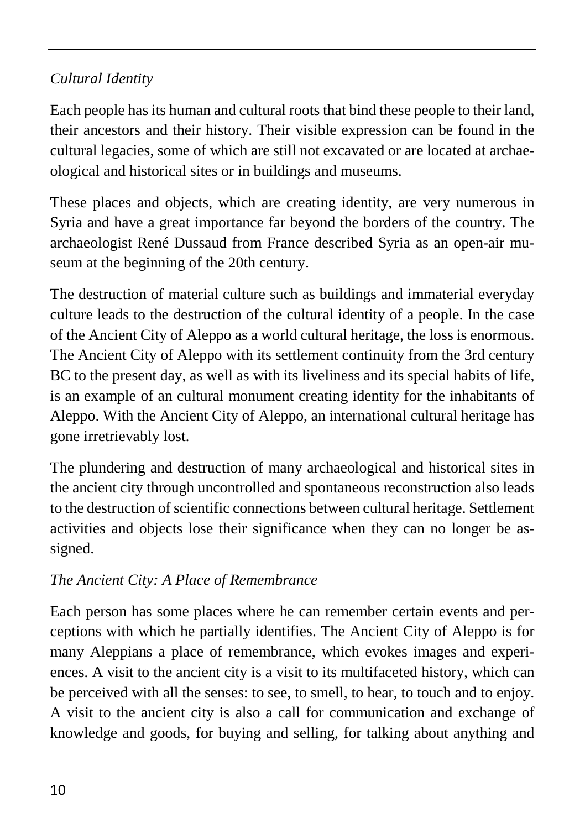### *Cultural Identity*

Each people has its human and cultural roots that bind these people to their land, their ancestors and their history. Their visible expression can be found in the cultural legacies, some of which are still not excavated or are located at archaeological and historical sites or in buildings and museums.

These places and objects, which are creating identity, are very numerous in Syria and have a great importance far beyond the borders of the country. The archaeologist René Dussaud from France described Syria as an open-air museum at the beginning of the 20th century.

The destruction of material culture such as buildings and immaterial everyday culture leads to the destruction of the cultural identity of a people. In the case of the Ancient City of Aleppo as a world cultural heritage, the loss is enormous. The Ancient City of Aleppo with its settlement continuity from the 3rd century BC to the present day, as well as with its liveliness and its special habits of life, is an example of an cultural monument creating identity for the inhabitants of Aleppo. With the Ancient City of Aleppo, an international cultural heritage has gone irretrievably lost.

The plundering and destruction of many archaeological and historical sites in the ancient city through uncontrolled and spontaneous reconstruction also leads to the destruction of scientific connections between cultural heritage. Settlement activities and objects lose their significance when they can no longer be assigned.

### *The Ancient City: A Place of Remembrance*

Each person has some places where he can remember certain events and perceptions with which he partially identifies. The Ancient City of Aleppo is for many Aleppians a place of remembrance, which evokes images and experiences. A visit to the ancient city is a visit to its multifaceted history, which can be perceived with all the senses: to see, to smell, to hear, to touch and to enjoy. A visit to the ancient city is also a call for communication and exchange of knowledge and goods, for buying and selling, for talking about anything and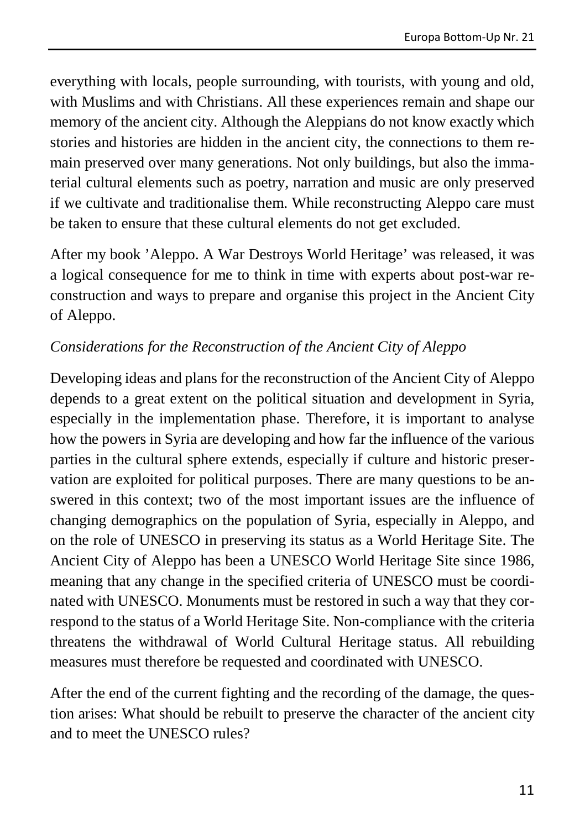everything with locals, people surrounding, with tourists, with young and old, with Muslims and with Christians. All these experiences remain and shape our memory of the ancient city. Although the Aleppians do not know exactly which stories and histories are hidden in the ancient city, the connections to them remain preserved over many generations. Not only buildings, but also the immaterial cultural elements such as poetry, narration and music are only preserved if we cultivate and traditionalise them. While reconstructing Aleppo care must be taken to ensure that these cultural elements do not get excluded.

After my book 'Aleppo. A War Destroys World Heritage' was released, it was a logical consequence for me to think in time with experts about post-war reconstruction and ways to prepare and organise this project in the Ancient City of Aleppo.

### *Considerations for the Reconstruction of the Ancient City of Aleppo*

Developing ideas and plans for the reconstruction of the Ancient City of Aleppo depends to a great extent on the political situation and development in Syria, especially in the implementation phase. Therefore, it is important to analyse how the powers in Syria are developing and how far the influence of the various parties in the cultural sphere extends, especially if culture and historic preservation are exploited for political purposes. There are many questions to be answered in this context; two of the most important issues are the influence of changing demographics on the population of Syria, especially in Aleppo, and on the role of UNESCO in preserving its status as a World Heritage Site. The Ancient City of Aleppo has been a UNESCO World Heritage Site since 1986, meaning that any change in the specified criteria of UNESCO must be coordinated with UNESCO. Monuments must be restored in such a way that they correspond to the status of a World Heritage Site. Non-compliance with the criteria threatens the withdrawal of World Cultural Heritage status. All rebuilding measures must therefore be requested and coordinated with UNESCO.

After the end of the current fighting and the recording of the damage, the question arises: What should be rebuilt to preserve the character of the ancient city and to meet the UNESCO rules?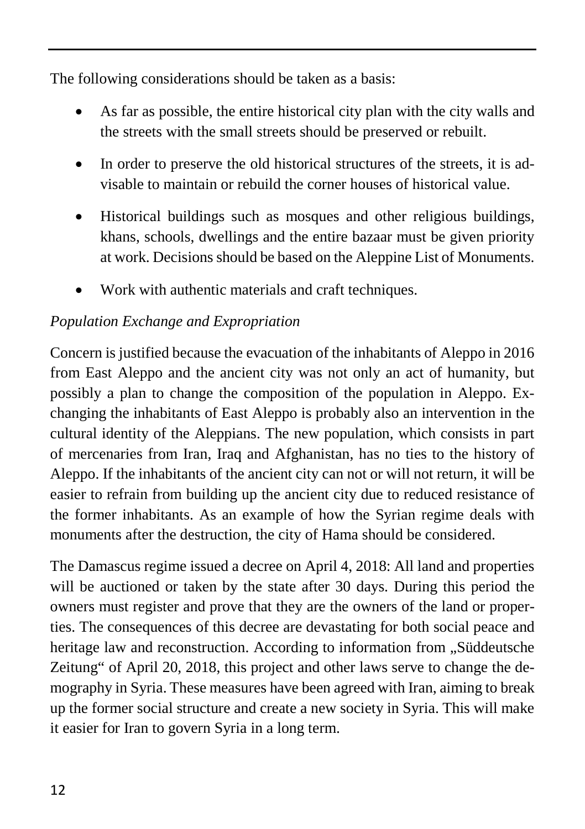The following considerations should be taken as a basis:

- As far as possible, the entire historical city plan with the city walls and the streets with the small streets should be preserved or rebuilt.
- In order to preserve the old historical structures of the streets, it is advisable to maintain or rebuild the corner houses of historical value.
- Historical buildings such as mosques and other religious buildings, khans, schools, dwellings and the entire bazaar must be given priority at work. Decisions should be based on the Aleppine List of Monuments.
- Work with authentic materials and craft techniques.

# *Population Exchange and Expropriation*

Concern is justified because the evacuation of the inhabitants of Aleppo in 2016 from East Aleppo and the ancient city was not only an act of humanity, but possibly a plan to change the composition of the population in Aleppo. Exchanging the inhabitants of East Aleppo is probably also an intervention in the cultural identity of the Aleppians. The new population, which consists in part of mercenaries from Iran, Iraq and Afghanistan, has no ties to the history of Aleppo. If the inhabitants of the ancient city can not or will not return, it will be easier to refrain from building up the ancient city due to reduced resistance of the former inhabitants. As an example of how the Syrian regime deals with monuments after the destruction, the city of Hama should be considered.

The Damascus regime issued a decree on April 4, 2018: All land and properties will be auctioned or taken by the state after 30 days. During this period the owners must register and prove that they are the owners of the land or properties. The consequences of this decree are devastating for both social peace and heritage law and reconstruction. According to information from "Süddeutsche Zeitung" of April 20, 2018, this project and other laws serve to change the demography in Syria. These measures have been agreed with Iran, aiming to break up the former social structure and create a new society in Syria. This will make it easier for Iran to govern Syria in a long term.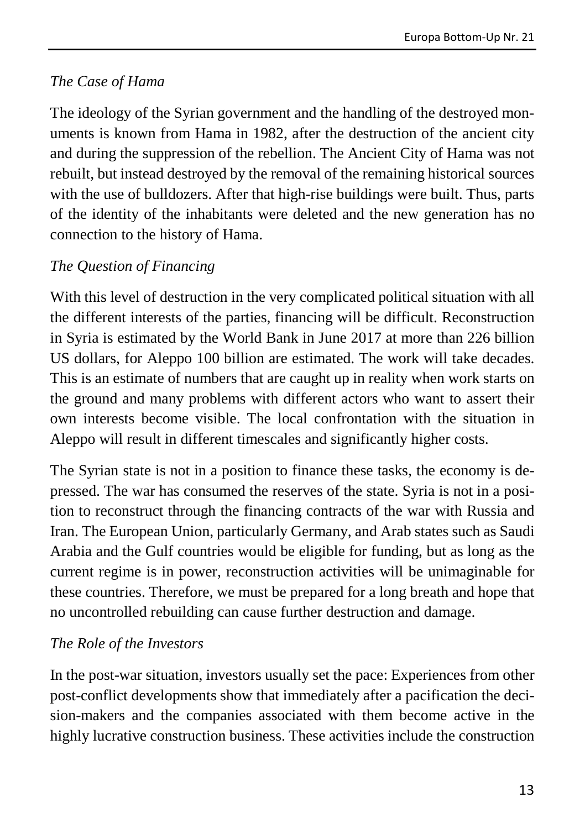#### *The Case of Hama*

The ideology of the Syrian government and the handling of the destroyed monuments is known from Hama in 1982, after the destruction of the ancient city and during the suppression of the rebellion. The Ancient City of Hama was not rebuilt, but instead destroyed by the removal of the remaining historical sources with the use of bulldozers. After that high-rise buildings were built. Thus, parts of the identity of the inhabitants were deleted and the new generation has no connection to the history of Hama.

#### *The Question of Financing*

With this level of destruction in the very complicated political situation with all the different interests of the parties, financing will be difficult. Reconstruction in Syria is estimated by the World Bank in June 2017 at more than 226 billion US dollars, for Aleppo 100 billion are estimated. The work will take decades. This is an estimate of numbers that are caught up in reality when work starts on the ground and many problems with different actors who want to assert their own interests become visible. The local confrontation with the situation in Aleppo will result in different timescales and significantly higher costs.

The Syrian state is not in a position to finance these tasks, the economy is depressed. The war has consumed the reserves of the state. Syria is not in a position to reconstruct through the financing contracts of the war with Russia and Iran. The European Union, particularly Germany, and Arab states such as Saudi Arabia and the Gulf countries would be eligible for funding, but as long as the current regime is in power, reconstruction activities will be unimaginable for these countries. Therefore, we must be prepared for a long breath and hope that no uncontrolled rebuilding can cause further destruction and damage.

#### *The Role of the Investors*

In the post-war situation, investors usually set the pace: Experiences from other post-conflict developments show that immediately after a pacification the decision-makers and the companies associated with them become active in the highly lucrative construction business. These activities include the construction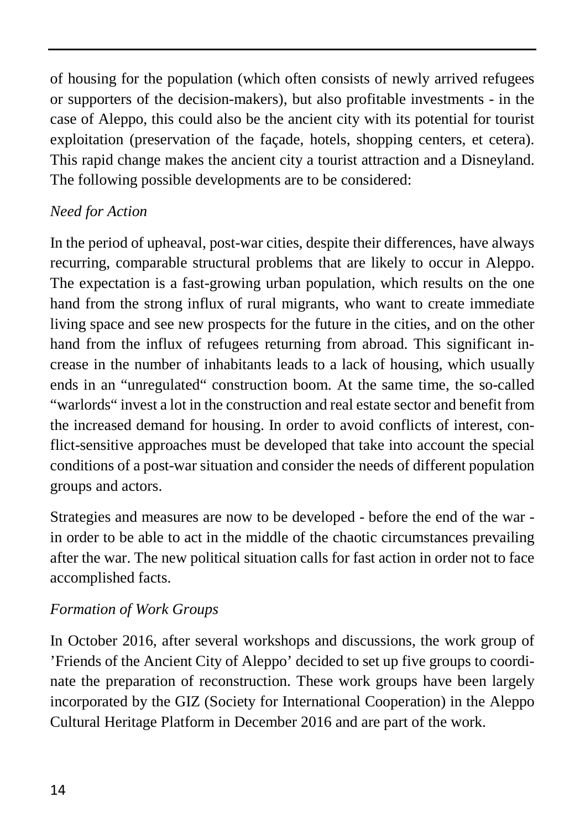of housing for the population (which often consists of newly arrived refugees or supporters of the decision-makers), but also profitable investments - in the case of Aleppo, this could also be the ancient city with its potential for tourist exploitation (preservation of the façade, hotels, shopping centers, et cetera). This rapid change makes the ancient city a tourist attraction and a Disneyland. The following possible developments are to be considered:

#### *Need for Action*

In the period of upheaval, post-war cities, despite their differences, have always recurring, comparable structural problems that are likely to occur in Aleppo. The expectation is a fast-growing urban population, which results on the one hand from the strong influx of rural migrants, who want to create immediate living space and see new prospects for the future in the cities, and on the other hand from the influx of refugees returning from abroad. This significant increase in the number of inhabitants leads to a lack of housing, which usually ends in an "unregulated" construction boom. At the same time, the so-called "warlords" invest a lot in the construction and real estate sector and benefit from the increased demand for housing. In order to avoid conflicts of interest, conflict-sensitive approaches must be developed that take into account the special conditions of a post-war situation and consider the needs of different population groups and actors.

Strategies and measures are now to be developed - before the end of the war in order to be able to act in the middle of the chaotic circumstances prevailing after the war. The new political situation calls for fast action in order not to face accomplished facts.

#### *Formation of Work Groups*

In October 2016, after several workshops and discussions, the work group of 'Friends of the Ancient City of Aleppo' decided to set up five groups to coordinate the preparation of reconstruction. These work groups have been largely incorporated by the GIZ (Society for International Cooperation) in the Aleppo Cultural Heritage Platform in December 2016 and are part of the work.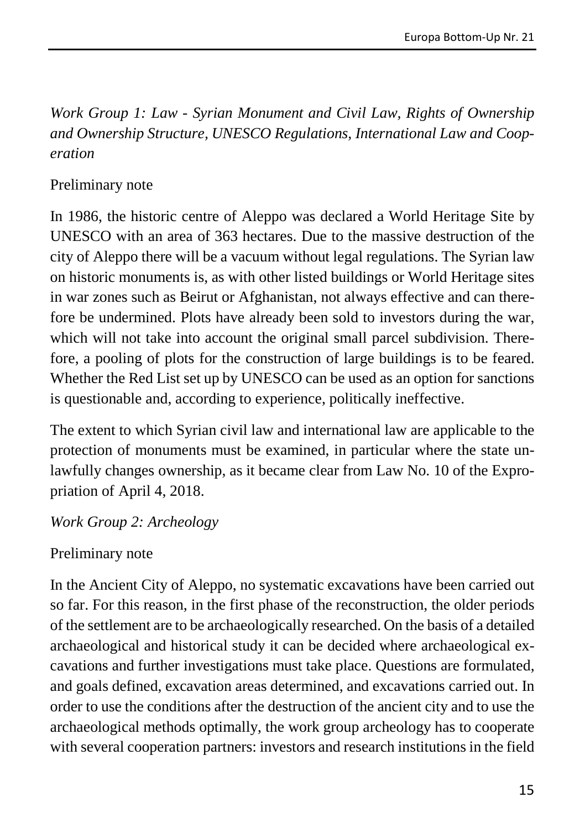*Work Group 1: Law - Syrian Monument and Civil Law, Rights of Ownership and Ownership Structure, UNESCO Regulations, International Law and Cooperation*

#### Preliminary note

In 1986, the historic centre of Aleppo was declared a World Heritage Site by UNESCO with an area of 363 hectares. Due to the massive destruction of the city of Aleppo there will be a vacuum without legal regulations. The Syrian law on historic monuments is, as with other listed buildings or World Heritage sites in war zones such as Beirut or Afghanistan, not always effective and can therefore be undermined. Plots have already been sold to investors during the war, which will not take into account the original small parcel subdivision. Therefore, a pooling of plots for the construction of large buildings is to be feared. Whether the Red List set up by UNESCO can be used as an option for sanctions is questionable and, according to experience, politically ineffective.

The extent to which Syrian civil law and international law are applicable to the protection of monuments must be examined, in particular where the state unlawfully changes ownership, as it became clear from Law No. 10 of the Expropriation of April 4, 2018.

*Work Group 2: Archeology*

#### Preliminary note

In the Ancient City of Aleppo, no systematic excavations have been carried out so far. For this reason, in the first phase of the reconstruction, the older periods of the settlement are to be archaeologically researched. On the basis of a detailed archaeological and historical study it can be decided where archaeological excavations and further investigations must take place. Questions are formulated, and goals defined, excavation areas determined, and excavations carried out. In order to use the conditions after the destruction of the ancient city and to use the archaeological methods optimally, the work group archeology has to cooperate with several cooperation partners: investors and research institutions in the field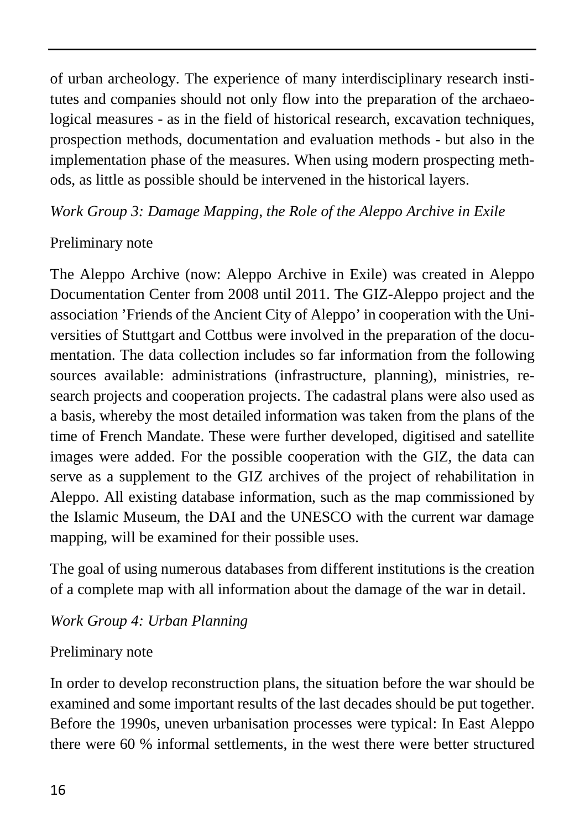of urban archeology. The experience of many interdisciplinary research institutes and companies should not only flow into the preparation of the archaeological measures - as in the field of historical research, excavation techniques, prospection methods, documentation and evaluation methods - but also in the implementation phase of the measures. When using modern prospecting methods, as little as possible should be intervened in the historical layers.

*Work Group 3: Damage Mapping, the Role of the Aleppo Archive in Exile*

## Preliminary note

The Aleppo Archive (now: Aleppo Archive in Exile) was created in Aleppo Documentation Center from 2008 until 2011. The GIZ-Aleppo project and the association 'Friends of the Ancient City of Aleppo' in cooperation with the Universities of Stuttgart and Cottbus were involved in the preparation of the documentation. The data collection includes so far information from the following sources available: administrations (infrastructure, planning), ministries, research projects and cooperation projects. The cadastral plans were also used as a basis, whereby the most detailed information was taken from the plans of the time of French Mandate. These were further developed, digitised and satellite images were added. For the possible cooperation with the GIZ, the data can serve as a supplement to the GIZ archives of the project of rehabilitation in Aleppo. All existing database information, such as the map commissioned by the Islamic Museum, the DAI and the UNESCO with the current war damage mapping, will be examined for their possible uses.

The goal of using numerous databases from different institutions is the creation of a complete map with all information about the damage of the war in detail.

### *Work Group 4: Urban Planning*

### Preliminary note

In order to develop reconstruction plans, the situation before the war should be examined and some important results of the last decades should be put together. Before the 1990s, uneven urbanisation processes were typical: In East Aleppo there were 60 % informal settlements, in the west there were better structured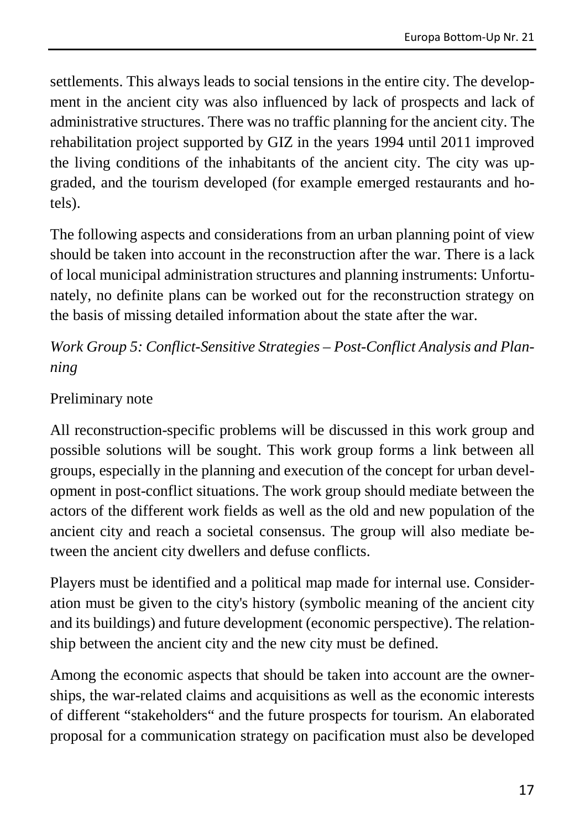settlements. This always leads to social tensions in the entire city. The development in the ancient city was also influenced by lack of prospects and lack of administrative structures. There was no traffic planning for the ancient city. The rehabilitation project supported by GIZ in the years 1994 until 2011 improved the living conditions of the inhabitants of the ancient city. The city was upgraded, and the tourism developed (for example emerged restaurants and hotels).

The following aspects and considerations from an urban planning point of view should be taken into account in the reconstruction after the war. There is a lack of local municipal administration structures and planning instruments: Unfortunately, no definite plans can be worked out for the reconstruction strategy on the basis of missing detailed information about the state after the war.

*Work Group 5: Conflict-Sensitive Strategies – Post-Conflict Analysis and Planning*

#### Preliminary note

All reconstruction-specific problems will be discussed in this work group and possible solutions will be sought. This work group forms a link between all groups, especially in the planning and execution of the concept for urban development in post-conflict situations. The work group should mediate between the actors of the different work fields as well as the old and new population of the ancient city and reach a societal consensus. The group will also mediate between the ancient city dwellers and defuse conflicts.

Players must be identified and a political map made for internal use. Consideration must be given to the city's history (symbolic meaning of the ancient city and its buildings) and future development (economic perspective). The relationship between the ancient city and the new city must be defined.

Among the economic aspects that should be taken into account are the ownerships, the war-related claims and acquisitions as well as the economic interests of different "stakeholders" and the future prospects for tourism. An elaborated proposal for a communication strategy on pacification must also be developed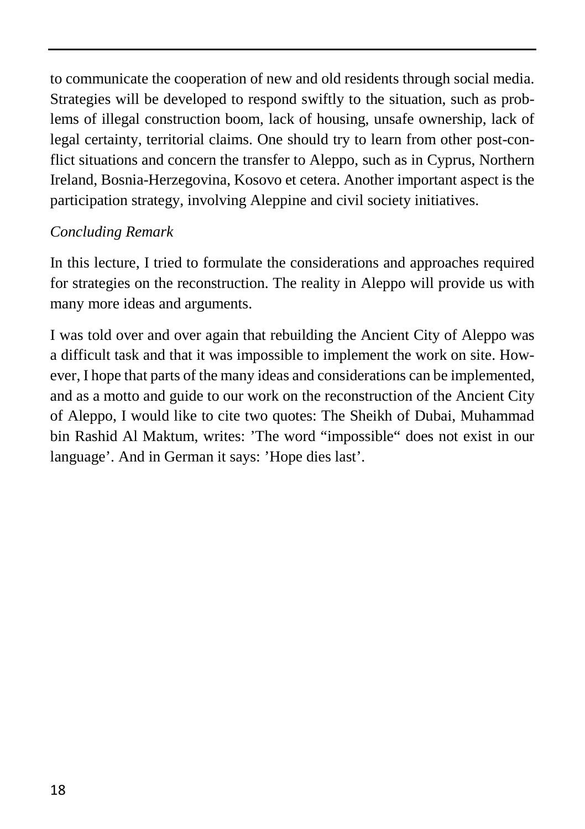to communicate the cooperation of new and old residents through social media. Strategies will be developed to respond swiftly to the situation, such as problems of illegal construction boom, lack of housing, unsafe ownership, lack of legal certainty, territorial claims. One should try to learn from other post-conflict situations and concern the transfer to Aleppo, such as in Cyprus, Northern Ireland, Bosnia-Herzegovina, Kosovo et cetera. Another important aspect is the participation strategy, involving Aleppine and civil society initiatives.

#### *Concluding Remark*

In this lecture, I tried to formulate the considerations and approaches required for strategies on the reconstruction. The reality in Aleppo will provide us with many more ideas and arguments.

I was told over and over again that rebuilding the Ancient City of Aleppo was a difficult task and that it was impossible to implement the work on site. However, I hope that parts of the many ideas and considerations can be implemented, and as a motto and guide to our work on the reconstruction of the Ancient City of Aleppo, I would like to cite two quotes: The Sheikh of Dubai, Muhammad bin Rashid Al Maktum, writes: 'The word "impossible" does not exist in our language'. And in German it says: 'Hope dies last'.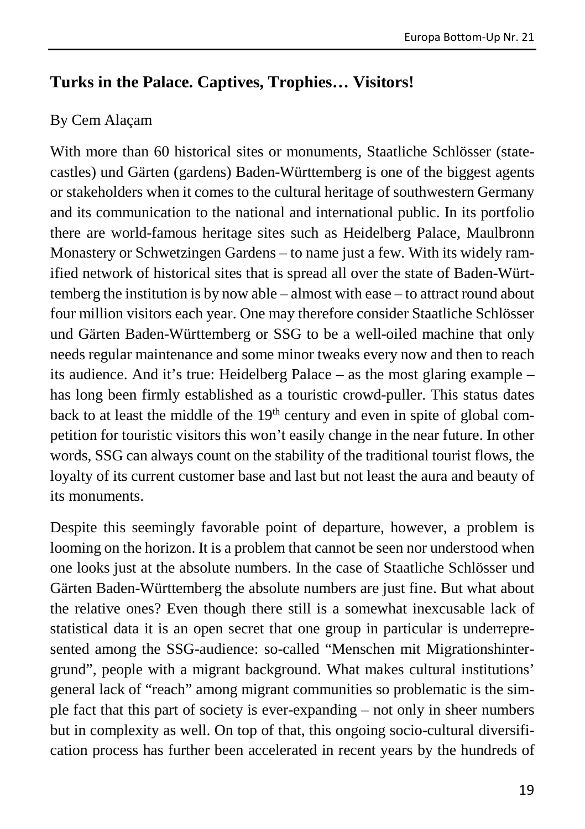#### <span id="page-19-0"></span>**Turks in the Palace. Captives, Trophies… Visitors!**

#### By Cem Alaçam

With more than 60 historical sites or monuments, Staatliche Schlösser (statecastles) und Gärten (gardens) Baden-Württemberg is one of the biggest agents or stakeholders when it comes to the cultural heritage of southwestern Germany and its communication to the national and international public. In its portfolio there are world-famous heritage sites such as Heidelberg Palace, Maulbronn Monastery or Schwetzingen Gardens – to name just a few. With its widely ramified network of historical sites that is spread all over the state of Baden-Württemberg the institution is by now able – almost with ease – to attract round about four million visitors each year. One may therefore consider Staatliche Schlösser und Gärten Baden-Württemberg or SSG to be a well-oiled machine that only needs regular maintenance and some minor tweaks every now and then to reach its audience. And it's true: Heidelberg Palace – as the most glaring example – has long been firmly established as a touristic crowd-puller. This status dates back to at least the middle of the  $19<sup>th</sup>$  century and even in spite of global competition for touristic visitors this won't easily change in the near future. In other words, SSG can always count on the stability of the traditional tourist flows, the loyalty of its current customer base and last but not least the aura and beauty of its monuments.

Despite this seemingly favorable point of departure, however, a problem is looming on the horizon. It is a problem that cannot be seen nor understood when one looks just at the absolute numbers. In the case of Staatliche Schlösser und Gärten Baden-Württemberg the absolute numbers are just fine. But what about the relative ones? Even though there still is a somewhat inexcusable lack of statistical data it is an open secret that one group in particular is underrepresented among the SSG-audience: so-called "Menschen mit Migrationshintergrund", people with a migrant background. What makes cultural institutions' general lack of "reach" among migrant communities so problematic is the simple fact that this part of society is ever-expanding – not only in sheer numbers but in complexity as well. On top of that, this ongoing socio-cultural diversification process has further been accelerated in recent years by the hundreds of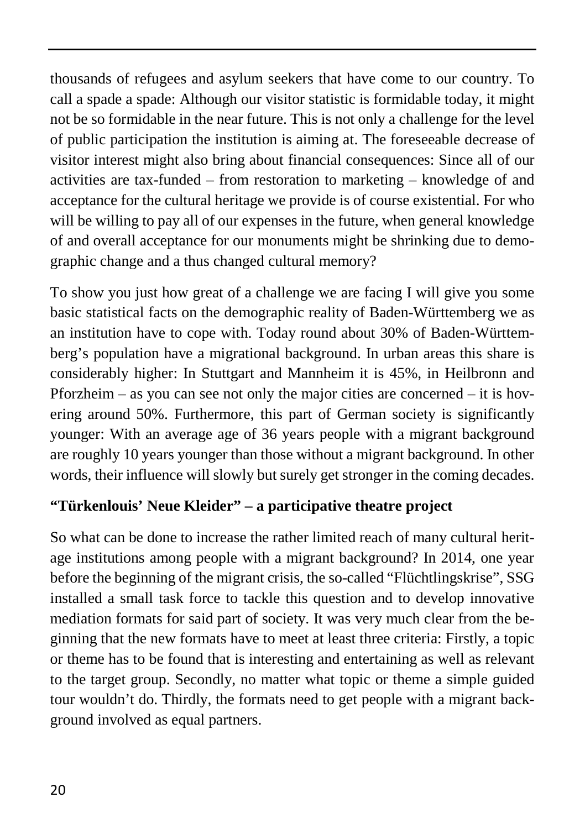thousands of refugees and asylum seekers that have come to our country. To call a spade a spade: Although our visitor statistic is formidable today, it might not be so formidable in the near future. This is not only a challenge for the level of public participation the institution is aiming at. The foreseeable decrease of visitor interest might also bring about financial consequences: Since all of our activities are tax-funded – from restoration to marketing – knowledge of and acceptance for the cultural heritage we provide is of course existential. For who will be willing to pay all of our expenses in the future, when general knowledge of and overall acceptance for our monuments might be shrinking due to demographic change and a thus changed cultural memory?

To show you just how great of a challenge we are facing I will give you some basic statistical facts on the demographic reality of Baden-Württemberg we as an institution have to cope with. Today round about 30% of Baden-Württemberg's population have a migrational background. In urban areas this share is considerably higher: In Stuttgart and Mannheim it is 45%, in Heilbronn and Pforzheim – as you can see not only the major cities are concerned – it is hovering around 50%. Furthermore, this part of German society is significantly younger: With an average age of 36 years people with a migrant background are roughly 10 years younger than those without a migrant background. In other words, their influence will slowly but surely get stronger in the coming decades.

### **"Türkenlouis' Neue Kleider" – a participative theatre project**

So what can be done to increase the rather limited reach of many cultural heritage institutions among people with a migrant background? In 2014, one year before the beginning of the migrant crisis, the so-called "Flüchtlingskrise", SSG installed a small task force to tackle this question and to develop innovative mediation formats for said part of society. It was very much clear from the beginning that the new formats have to meet at least three criteria: Firstly, a topic or theme has to be found that is interesting and entertaining as well as relevant to the target group. Secondly, no matter what topic or theme a simple guided tour wouldn't do. Thirdly, the formats need to get people with a migrant background involved as equal partners.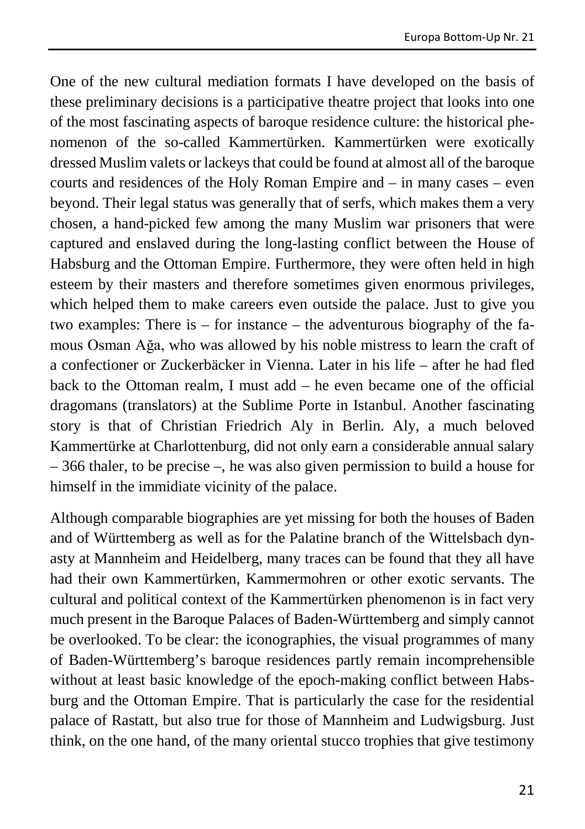One of the new cultural mediation formats I have developed on the basis of these preliminary decisions is a participative theatre project that looks into one of the most fascinating aspects of baroque residence culture: the historical phenomenon of the so-called Kammertürken. Kammertürken were exotically dressed Muslim valets or lackeys that could be found at almost all of the baroque courts and residences of the Holy Roman Empire and – in many cases – even beyond. Their legal status was generally that of serfs, which makes them a very chosen, a hand-picked few among the many Muslim war prisoners that were captured and enslaved during the long-lasting conflict between the House of Habsburg and the Ottoman Empire. Furthermore, they were often held in high esteem by their masters and therefore sometimes given enormous privileges, which helped them to make careers even outside the palace. Just to give you two examples: There is – for instance – the adventurous biography of the famous Osman Ağa, who was allowed by his noble mistress to learn the craft of a confectioner or Zuckerbäcker in Vienna. Later in his life – after he had fled back to the Ottoman realm, I must  $add - he$  even became one of the official dragomans (translators) at the Sublime Porte in Istanbul. Another fascinating story is that of Christian Friedrich Aly in Berlin. Aly, a much beloved Kammertürke at Charlottenburg, did not only earn a considerable annual salary – 366 thaler, to be precise –, he was also given permission to build a house for himself in the immidiate vicinity of the palace.

Although comparable biographies are yet missing for both the houses of Baden and of Württemberg as well as for the Palatine branch of the Wittelsbach dynasty at Mannheim and Heidelberg, many traces can be found that they all have had their own Kammertürken, Kammermohren or other exotic servants. The cultural and political context of the Kammertürken phenomenon is in fact very much present in the Baroque Palaces of Baden-Württemberg and simply cannot be overlooked. To be clear: the iconographies, the visual programmes of many of Baden-Württemberg's baroque residences partly remain incomprehensible without at least basic knowledge of the epoch-making conflict between Habsburg and the Ottoman Empire. That is particularly the case for the residential palace of Rastatt, but also true for those of Mannheim and Ludwigsburg. Just think, on the one hand, of the many oriental stucco trophies that give testimony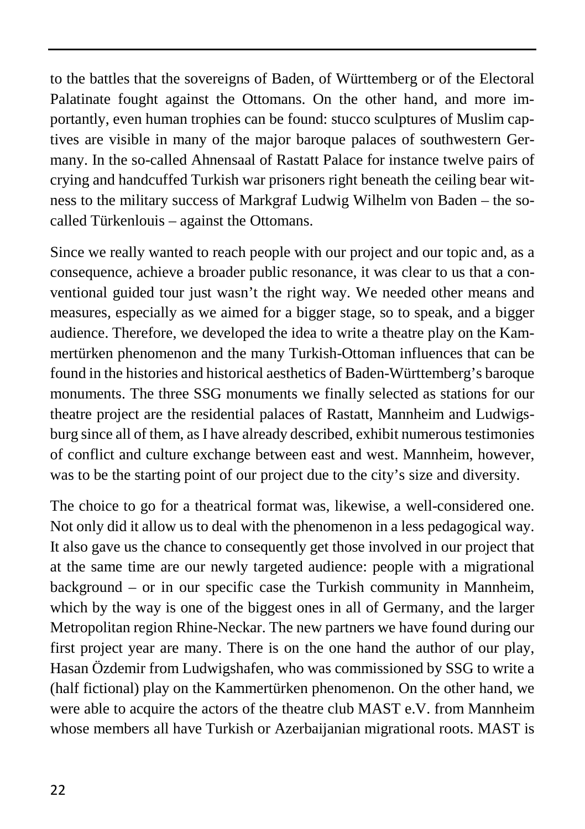to the battles that the sovereigns of Baden, of Württemberg or of the Electoral Palatinate fought against the Ottomans. On the other hand, and more importantly, even human trophies can be found: stucco sculptures of Muslim captives are visible in many of the major baroque palaces of southwestern Germany. In the so-called Ahnensaal of Rastatt Palace for instance twelve pairs of crying and handcuffed Turkish war prisoners right beneath the ceiling bear witness to the military success of Markgraf Ludwig Wilhelm von Baden – the socalled Türkenlouis – against the Ottomans.

Since we really wanted to reach people with our project and our topic and, as a consequence, achieve a broader public resonance, it was clear to us that a conventional guided tour just wasn't the right way. We needed other means and measures, especially as we aimed for a bigger stage, so to speak, and a bigger audience. Therefore, we developed the idea to write a theatre play on the Kammertürken phenomenon and the many Turkish-Ottoman influences that can be found in the histories and historical aesthetics of Baden-Württemberg's baroque monuments. The three SSG monuments we finally selected as stations for our theatre project are the residential palaces of Rastatt, Mannheim and Ludwigsburg since all of them, as I have already described, exhibit numerous testimonies of conflict and culture exchange between east and west. Mannheim, however, was to be the starting point of our project due to the city's size and diversity.

The choice to go for a theatrical format was, likewise, a well-considered one. Not only did it allow us to deal with the phenomenon in a less pedagogical way. It also gave us the chance to consequently get those involved in our project that at the same time are our newly targeted audience: people with a migrational background – or in our specific case the Turkish community in Mannheim, which by the way is one of the biggest ones in all of Germany, and the larger Metropolitan region Rhine-Neckar. The new partners we have found during our first project year are many. There is on the one hand the author of our play, Hasan Özdemir from Ludwigshafen, who was commissioned by SSG to write a (half fictional) play on the Kammertürken phenomenon. On the other hand, we were able to acquire the actors of the theatre club MAST e.V. from Mannheim whose members all have Turkish or Azerbaijanian migrational roots. MAST is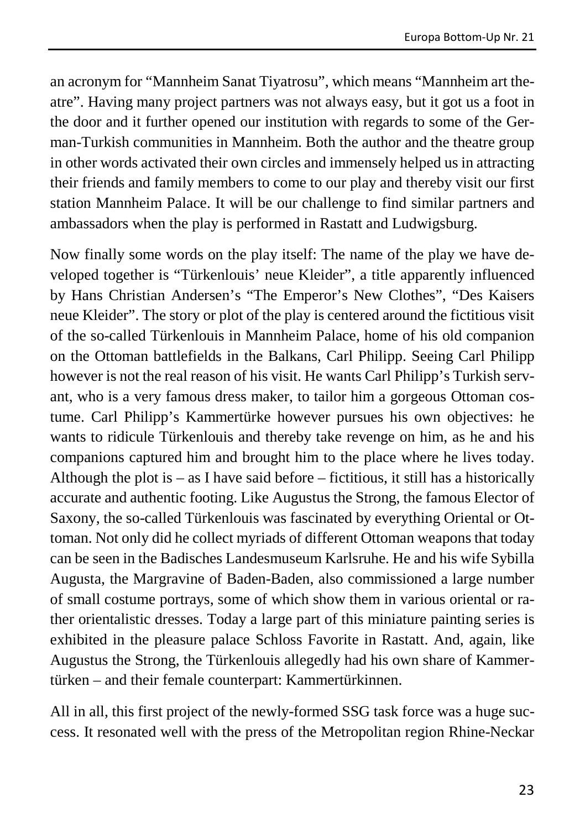an acronym for "Mannheim Sanat Tiyatrosu", which means "Mannheim art theatre". Having many project partners was not always easy, but it got us a foot in the door and it further opened our institution with regards to some of the German-Turkish communities in Mannheim. Both the author and the theatre group in other words activated their own circles and immensely helped us in attracting their friends and family members to come to our play and thereby visit our first station Mannheim Palace. It will be our challenge to find similar partners and ambassadors when the play is performed in Rastatt and Ludwigsburg.

Now finally some words on the play itself: The name of the play we have developed together is "Türkenlouis' neue Kleider", a title apparently influenced by Hans Christian Andersen's "The Emperor's New Clothes", "Des Kaisers neue Kleider". The story or plot of the play is centered around the fictitious visit of the so-called Türkenlouis in Mannheim Palace, home of his old companion on the Ottoman battlefields in the Balkans, Carl Philipp. Seeing Carl Philipp however is not the real reason of his visit. He wants Carl Philipp's Turkish servant, who is a very famous dress maker, to tailor him a gorgeous Ottoman costume. Carl Philipp's Kammertürke however pursues his own objectives: he wants to ridicule Türkenlouis and thereby take revenge on him, as he and his companions captured him and brought him to the place where he lives today. Although the plot is  $-\text{ as } I$  have said before – fictitious, it still has a historically accurate and authentic footing. Like Augustus the Strong, the famous Elector of Saxony, the so-called Türkenlouis was fascinated by everything Oriental or Ottoman. Not only did he collect myriads of different Ottoman weapons that today can be seen in the Badisches Landesmuseum Karlsruhe. He and his wife Sybilla Augusta, the Margravine of Baden-Baden, also commissioned a large number of small costume portrays, some of which show them in various oriental or rather orientalistic dresses. Today a large part of this miniature painting series is exhibited in the pleasure palace Schloss Favorite in Rastatt. And, again, like Augustus the Strong, the Türkenlouis allegedly had his own share of Kammertürken – and their female counterpart: Kammertürkinnen.

All in all, this first project of the newly-formed SSG task force was a huge success. It resonated well with the press of the Metropolitan region Rhine-Neckar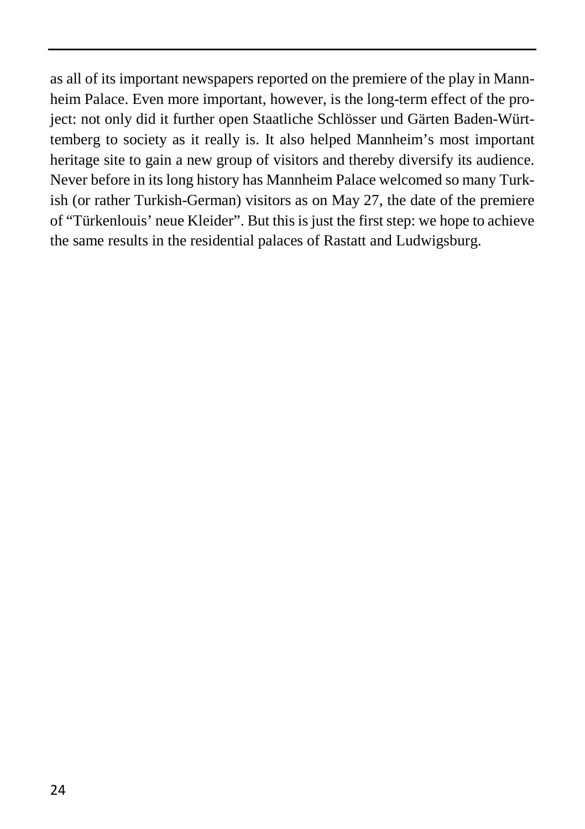as all of its important newspapers reported on the premiere of the play in Mannheim Palace. Even more important, however, is the long-term effect of the project: not only did it further open Staatliche Schlösser und Gärten Baden-Württemberg to society as it really is. It also helped Mannheim's most important heritage site to gain a new group of visitors and thereby diversify its audience. Never before in its long history has Mannheim Palace welcomed so many Turkish (or rather Turkish-German) visitors as on May 27, the date of the premiere of "Türkenlouis' neue Kleider". But this is just the first step: we hope to achieve the same results in the residential palaces of Rastatt and Ludwigsburg.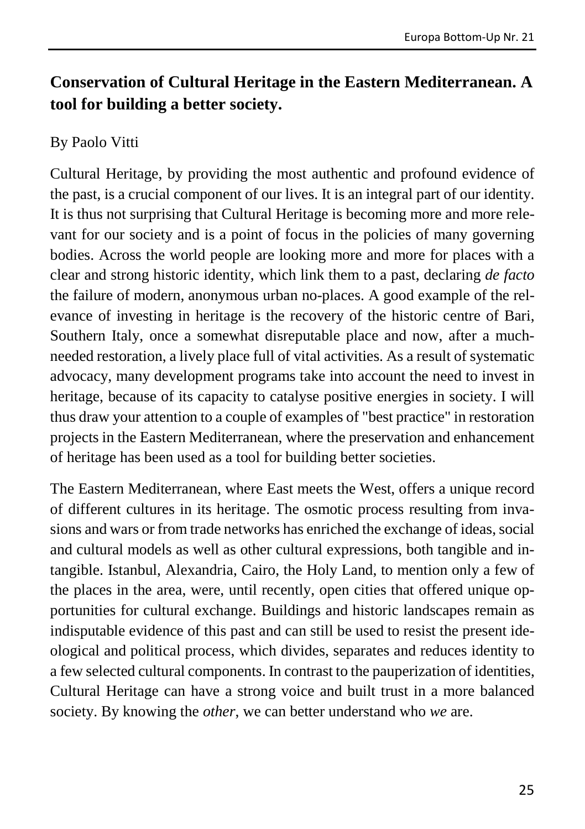# <span id="page-25-0"></span>**Conservation of Cultural Heritage in the Eastern Mediterranean. A tool for building a better society.**

#### By Paolo Vitti

Cultural Heritage, by providing the most authentic and profound evidence of the past, is a crucial component of our lives. It is an integral part of our identity. It is thus not surprising that Cultural Heritage is becoming more and more relevant for our society and is a point of focus in the policies of many governing bodies. Across the world people are looking more and more for places with a clear and strong historic identity, which link them to a past, declaring *de facto* the failure of modern, anonymous urban no-places. A good example of the relevance of investing in heritage is the recovery of the historic centre of Bari, Southern Italy, once a somewhat disreputable place and now, after a muchneeded restoration, a lively place full of vital activities. As a result of systematic advocacy, many development programs take into account the need to invest in heritage, because of its capacity to catalyse positive energies in society. I will thus draw your attention to a couple of examples of "best practice" in restoration projects in the Eastern Mediterranean, where the preservation and enhancement of heritage has been used as a tool for building better societies.

The Eastern Mediterranean, where East meets the West, offers a unique record of different cultures in its heritage. The osmotic process resulting from invasions and wars or from trade networks has enriched the exchange of ideas, social and cultural models as well as other cultural expressions, both tangible and intangible. Istanbul, Alexandria, Cairo, the Holy Land, to mention only a few of the places in the area, were, until recently, open cities that offered unique opportunities for cultural exchange. Buildings and historic landscapes remain as indisputable evidence of this past and can still be used to resist the present ideological and political process, which divides, separates and reduces identity to a few selected cultural components. In contrast to the pauperization of identities, Cultural Heritage can have a strong voice and built trust in a more balanced society. By knowing the *other*, we can better understand who *we* are.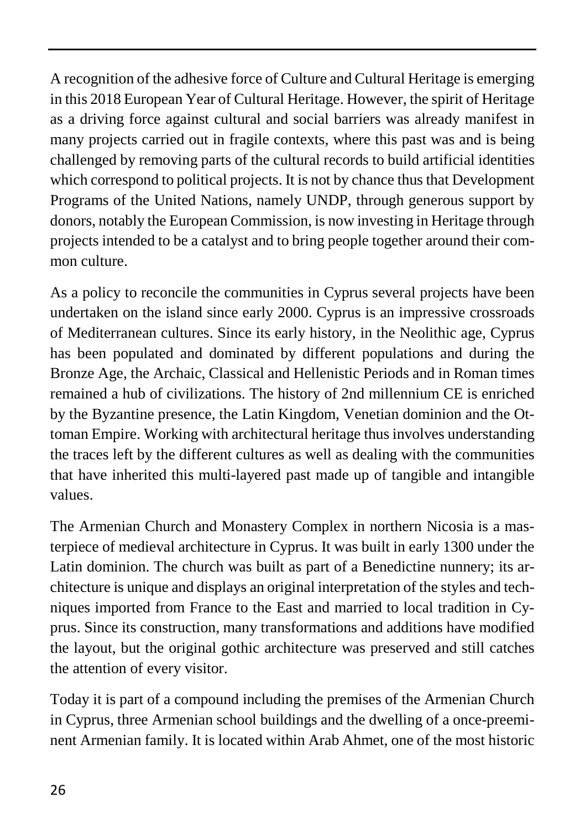A recognition of the adhesive force of Culture and Cultural Heritage is emerging in this 2018 European Year of Cultural Heritage. However, the spirit of Heritage as a driving force against cultural and social barriers was already manifest in many projects carried out in fragile contexts, where this past was and is being challenged by removing parts of the cultural records to build artificial identities which correspond to political projects. It is not by chance thus that Development Programs of the United Nations, namely UNDP, through generous support by donors, notably the European Commission, is now investing in Heritage through projects intended to be a catalyst and to bring people together around their common culture.

As a policy to reconcile the communities in Cyprus several projects have been undertaken on the island since early 2000. Cyprus is an impressive crossroads of Mediterranean cultures. Since its early history, in the Neolithic age, Cyprus has been populated and dominated by different populations and during the Bronze Age, the Archaic, Classical and Hellenistic Periods and in Roman times remained a hub of civilizations. The history of 2nd millennium CE is enriched by the Byzantine presence, the Latin Kingdom, Venetian dominion and the Ottoman Empire. Working with architectural heritage thus involves understanding the traces left by the different cultures as well as dealing with the communities that have inherited this multi-layered past made up of tangible and intangible values.

The Armenian Church and Monastery Complex in northern Nicosia is a masterpiece of medieval architecture in Cyprus. It was built in early 1300 under the Latin dominion. The church was built as part of a Benedictine nunnery; its architecture is unique and displays an original interpretation of the styles and techniques imported from France to the East and married to local tradition in Cyprus. Since its construction, many transformations and additions have modified the layout, but the original gothic architecture was preserved and still catches the attention of every visitor.

Today it is part of a compound including the premises of the Armenian Church in Cyprus, three Armenian school buildings and the dwelling of a once-preeminent Armenian family. It is located within Arab Ahmet, one of the most historic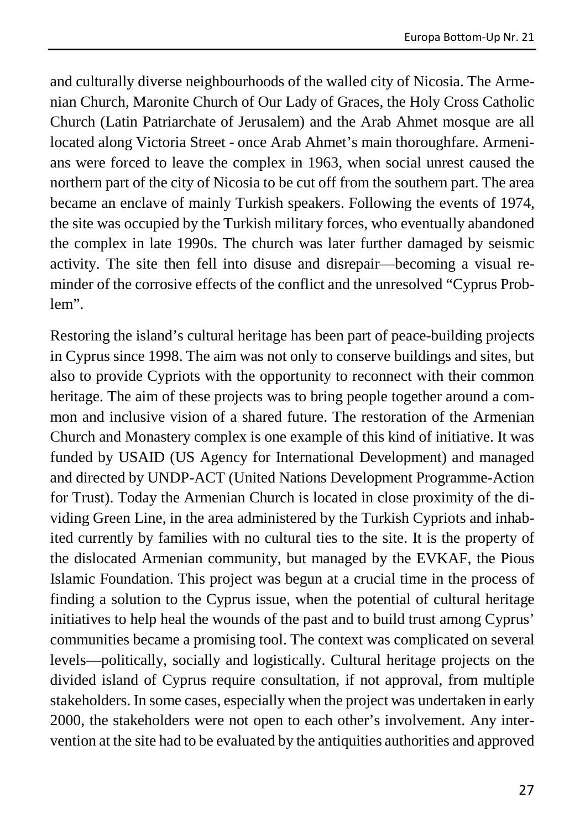and culturally diverse neighbourhoods of the walled city of Nicosia. The Armenian Church, Maronite Church of Our Lady of Graces, the Holy Cross Catholic Church (Latin Patriarchate of Jerusalem) and the Arab Ahmet mosque are all located along Victoria Street - once Arab Ahmet's main thoroughfare. Armenians were forced to leave the complex in 1963, when social unrest caused the northern part of the city of Nicosia to be cut off from the southern part. The area became an enclave of mainly Turkish speakers. Following the events of 1974, the site was occupied by the Turkish military forces, who eventually abandoned the complex in late 1990s. The church was later further damaged by seismic activity. The site then fell into disuse and disrepair—becoming a visual reminder of the corrosive effects of the conflict and the unresolved "Cyprus Problem".

Restoring the island's cultural heritage has been part of peace-building projects in Cyprus since 1998. The aim was not only to conserve buildings and sites, but also to provide Cypriots with the opportunity to reconnect with their common heritage. The aim of these projects was to bring people together around a common and inclusive vision of a shared future. The restoration of the Armenian Church and Monastery complex is one example of this kind of initiative. It was funded by USAID (US Agency for International Development) and managed and directed by UNDP-ACT (United Nations Development Programme-Action for Trust). Today the Armenian Church is located in close proximity of the dividing Green Line, in the area administered by the Turkish Cypriots and inhabited currently by families with no cultural ties to the site. It is the property of the dislocated Armenian community, but managed by the EVKAF, the Pious Islamic Foundation. This project was begun at a crucial time in the process of finding a solution to the Cyprus issue, when the potential of cultural heritage initiatives to help heal the wounds of the past and to build trust among Cyprus' communities became a promising tool. The context was complicated on several levels—politically, socially and logistically. Cultural heritage projects on the divided island of Cyprus require consultation, if not approval, from multiple stakeholders. In some cases, especially when the project was undertaken in early 2000, the stakeholders were not open to each other's involvement. Any intervention at the site had to be evaluated by the antiquities authorities and approved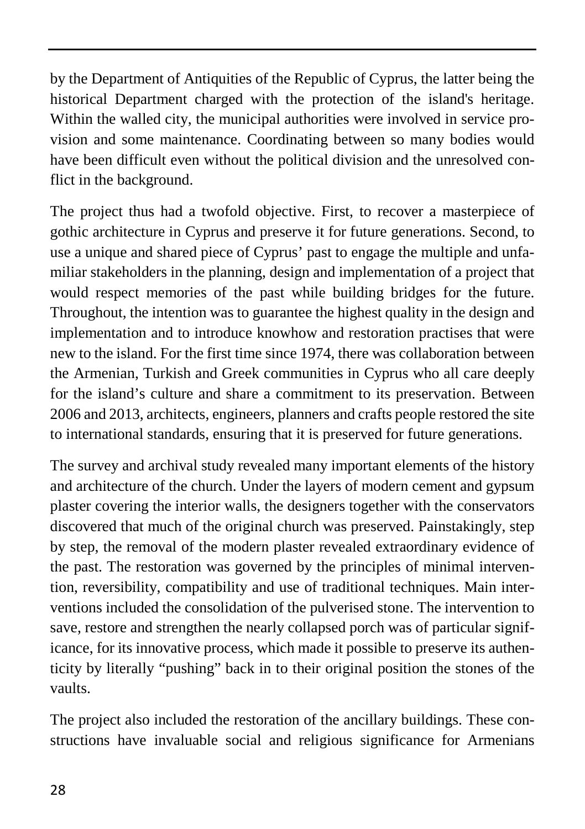by the Department of Antiquities of the Republic of Cyprus, the latter being the historical Department charged with the protection of the island's heritage. Within the walled city, the municipal authorities were involved in service provision and some maintenance. Coordinating between so many bodies would have been difficult even without the political division and the unresolved conflict in the background.

The project thus had a twofold objective. First, to recover a masterpiece of gothic architecture in Cyprus and preserve it for future generations. Second, to use a unique and shared piece of Cyprus' past to engage the multiple and unfamiliar stakeholders in the planning, design and implementation of a project that would respect memories of the past while building bridges for the future. Throughout, the intention was to guarantee the highest quality in the design and implementation and to introduce knowhow and restoration practises that were new to the island. For the first time since 1974, there was collaboration between the Armenian, Turkish and Greek communities in Cyprus who all care deeply for the island's culture and share a commitment to its preservation. Between 2006 and 2013, architects, engineers, planners and crafts people restored the site to international standards, ensuring that it is preserved for future generations.

The survey and archival study revealed many important elements of the history and architecture of the church. Under the layers of modern cement and gypsum plaster covering the interior walls, the designers together with the conservators discovered that much of the original church was preserved. Painstakingly, step by step, the removal of the modern plaster revealed extraordinary evidence of the past. The restoration was governed by the principles of minimal intervention, reversibility, compatibility and use of traditional techniques. Main interventions included the consolidation of the pulverised stone. The intervention to save, restore and strengthen the nearly collapsed porch was of particular significance, for its innovative process, which made it possible to preserve its authenticity by literally "pushing" back in to their original position the stones of the vaults.

The project also included the restoration of the ancillary buildings. These constructions have invaluable social and religious significance for Armenians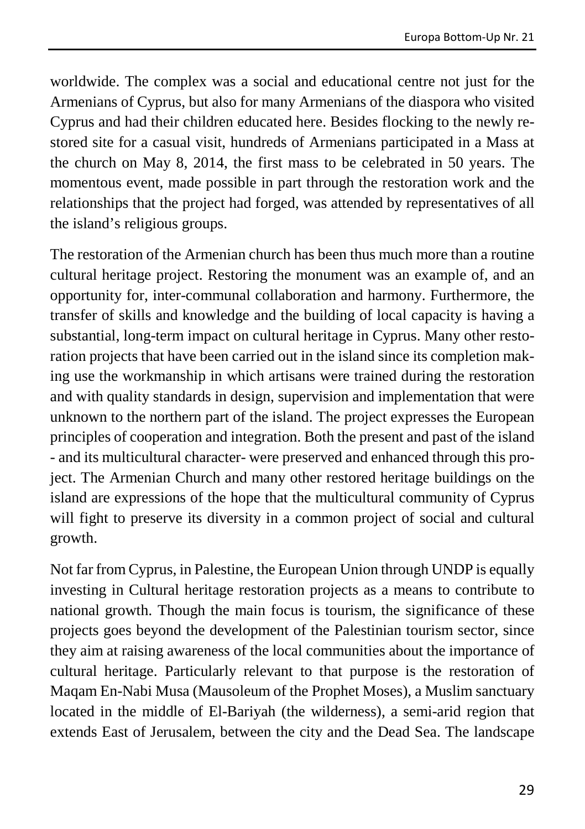worldwide. The complex was a social and educational centre not just for the Armenians of Cyprus, but also for many Armenians of the diaspora who visited Cyprus and had their children educated here. Besides flocking to the newly restored site for a casual visit, hundreds of Armenians participated in a Mass at the church on May 8, 2014, the first mass to be celebrated in 50 years. The momentous event, made possible in part through the restoration work and the relationships that the project had forged, was attended by representatives of all the island's religious groups.

The restoration of the Armenian church has been thus much more than a routine cultural heritage project. Restoring the monument was an example of, and an opportunity for, inter-communal collaboration and harmony. Furthermore, the transfer of skills and knowledge and the building of local capacity is having a substantial, long-term impact on cultural heritage in Cyprus. Many other restoration projects that have been carried out in the island since its completion making use the workmanship in which artisans were trained during the restoration and with quality standards in design, supervision and implementation that were unknown to the northern part of the island. The project expresses the European principles of cooperation and integration. Both the present and past of the island - and its multicultural character- were preserved and enhanced through this project. The Armenian Church and many other restored heritage buildings on the island are expressions of the hope that the multicultural community of Cyprus will fight to preserve its diversity in a common project of social and cultural growth.

Not far from Cyprus, in Palestine, the European Union through UNDP is equally investing in Cultural heritage restoration projects as a means to contribute to national growth. Though the main focus is tourism, the significance of these projects goes beyond the development of the Palestinian tourism sector, since they aim at raising awareness of the local communities about the importance of cultural heritage. Particularly relevant to that purpose is the restoration of Maqam En-Nabi Musa (Mausoleum of the Prophet Moses), a Muslim sanctuary located in the middle of El-Bariyah (the wilderness), a semi-arid region that extends East of Jerusalem, between the city and the Dead Sea. The landscape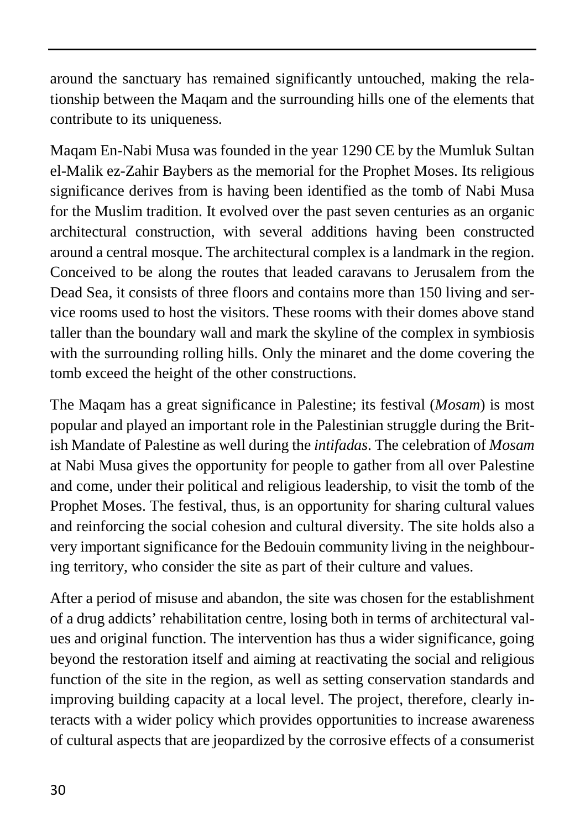around the sanctuary has remained significantly untouched, making the relationship between the Maqam and the surrounding hills one of the elements that contribute to its uniqueness.

Maqam En-Nabi Musa was founded in the year 1290 CE by the Mumluk Sultan el-Malik ez-Zahir Baybers as the memorial for the Prophet Moses. Its religious significance derives from is having been identified as the tomb of Nabi Musa for the Muslim tradition. It evolved over the past seven centuries as an organic architectural construction, with several additions having been constructed around a central mosque. The architectural complex is a landmark in the region. Conceived to be along the routes that leaded caravans to Jerusalem from the Dead Sea, it consists of three floors and contains more than 150 living and service rooms used to host the visitors. These rooms with their domes above stand taller than the boundary wall and mark the skyline of the complex in symbiosis with the surrounding rolling hills. Only the minaret and the dome covering the tomb exceed the height of the other constructions.

The Maqam has a great significance in Palestine; its festival (*Mosam*) is most popular and played an important role in the Palestinian struggle during the British Mandate of Palestine as well during the *intifadas*. The celebration of *Mosam* at Nabi Musa gives the opportunity for people to gather from all over Palestine and come, under their political and religious leadership, to visit the tomb of the Prophet Moses. The festival, thus, is an opportunity for sharing cultural values and reinforcing the social cohesion and cultural diversity. The site holds also a very important significance for the Bedouin community living in the neighbouring territory, who consider the site as part of their culture and values.

After a period of misuse and abandon, the site was chosen for the establishment of a drug addicts' rehabilitation centre, losing both in terms of architectural values and original function. The intervention has thus a wider significance, going beyond the restoration itself and aiming at reactivating the social and religious function of the site in the region, as well as setting conservation standards and improving building capacity at a local level. The project, therefore, clearly interacts with a wider policy which provides opportunities to increase awareness of cultural aspects that are jeopardized by the corrosive effects of a consumerist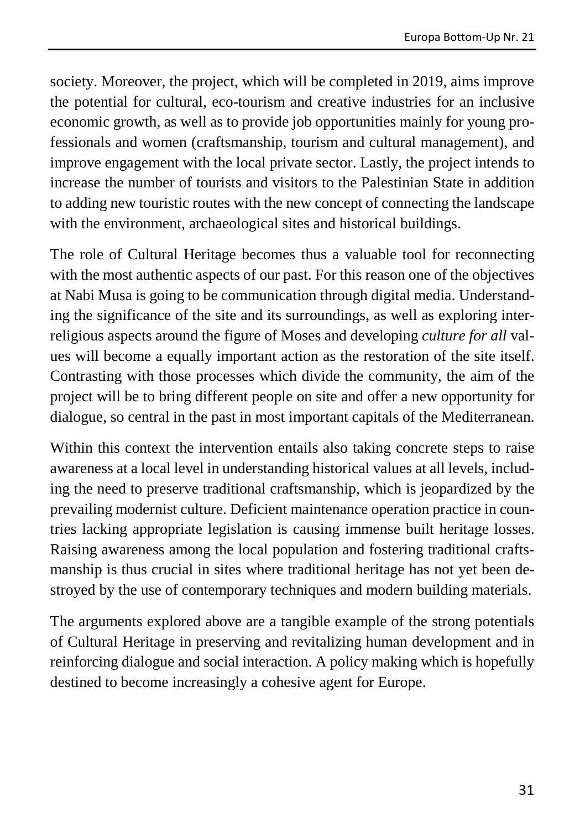society. Moreover, the project, which will be completed in 2019, aims improve the potential for cultural, eco-tourism and creative industries for an inclusive economic growth, as well as to provide job opportunities mainly for young professionals and women (craftsmanship, tourism and cultural management), and improve engagement with the local private sector. Lastly, the project intends to increase the number of tourists and visitors to the Palestinian State in addition to adding new touristic routes with the new concept of connecting the landscape with the environment, archaeological sites and historical buildings.

The role of Cultural Heritage becomes thus a valuable tool for reconnecting with the most authentic aspects of our past. For this reason one of the objectives at Nabi Musa is going to be communication through digital media. Understanding the significance of the site and its surroundings, as well as exploring interreligious aspects around the figure of Moses and developing *culture for all* values will become a equally important action as the restoration of the site itself. Contrasting with those processes which divide the community, the aim of the project will be to bring different people on site and offer a new opportunity for dialogue, so central in the past in most important capitals of the Mediterranean.

Within this context the intervention entails also taking concrete steps to raise awareness at a local level in understanding historical values at all levels, including the need to preserve traditional craftsmanship, which is jeopardized by the prevailing modernist culture. Deficient maintenance operation practice in countries lacking appropriate legislation is causing immense built heritage losses. Raising awareness among the local population and fostering traditional craftsmanship is thus crucial in sites where traditional heritage has not yet been destroyed by the use of contemporary techniques and modern building materials.

The arguments explored above are a tangible example of the strong potentials of Cultural Heritage in preserving and revitalizing human development and in reinforcing dialogue and social interaction. A policy making which is hopefully destined to become increasingly a cohesive agent for Europe.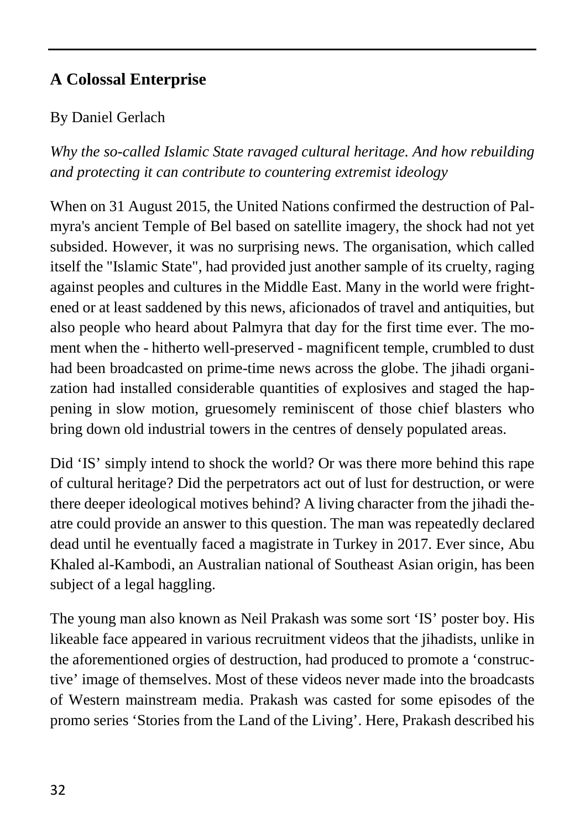# <span id="page-32-0"></span>**A Colossal Enterprise**

#### By Daniel Gerlach

*Why the so-called Islamic State ravaged cultural heritage. And how rebuilding and protecting it can contribute to countering extremist ideology*

When on 31 August 2015, the United Nations confirmed the destruction of Palmyra's ancient Temple of Bel based on satellite imagery, the shock had not yet subsided. However, it was no surprising news. The organisation, which called itself the "Islamic State", had provided just another sample of its cruelty, raging against peoples and cultures in the Middle East. Many in the world were frightened or at least saddened by this news, aficionados of travel and antiquities, but also people who heard about Palmyra that day for the first time ever. The moment when the - hitherto well-preserved - magnificent temple, crumbled to dust had been broadcasted on prime-time news across the globe. The jihadi organization had installed considerable quantities of explosives and staged the happening in slow motion, gruesomely reminiscent of those chief blasters who bring down old industrial towers in the centres of densely populated areas.

Did 'IS' simply intend to shock the world? Or was there more behind this rape of cultural heritage? Did the perpetrators act out of lust for destruction, or were there deeper ideological motives behind? A living character from the jihadi theatre could provide an answer to this question. The man was repeatedly declared dead until he eventually faced a magistrate in Turkey in 2017. Ever since, Abu Khaled al-Kambodi, an Australian national of Southeast Asian origin, has been subject of a legal haggling.

The young man also known as Neil Prakash was some sort 'IS' poster boy. His likeable face appeared in various recruitment videos that the jihadists, unlike in the aforementioned orgies of destruction, had produced to promote a 'constructive' image of themselves. Most of these videos never made into the broadcasts of Western mainstream media. Prakash was casted for some episodes of the promo series 'Stories from the Land of the Living'. Here, Prakash described his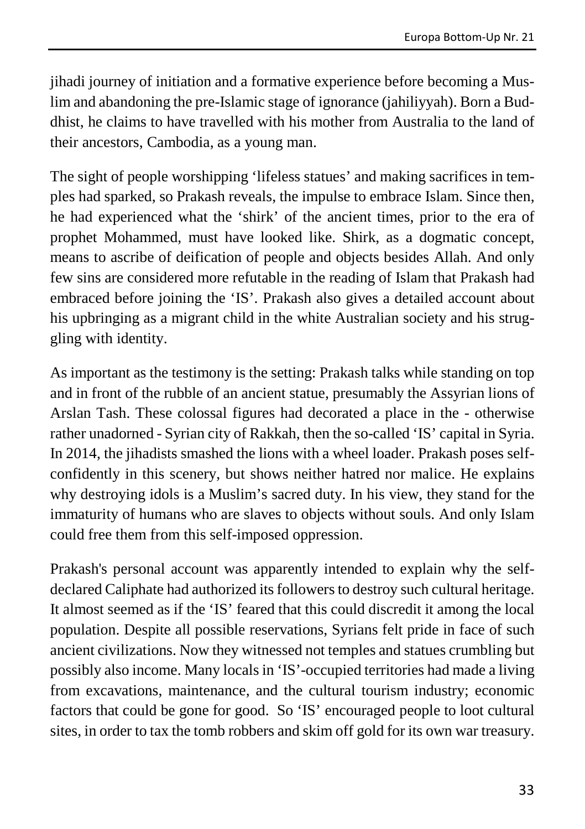jihadi journey of initiation and a formative experience before becoming a Muslim and abandoning the pre-Islamic stage of ignorance (jahiliyyah). Born a Buddhist, he claims to have travelled with his mother from Australia to the land of their ancestors, Cambodia, as a young man.

The sight of people worshipping 'lifeless statues' and making sacrifices in temples had sparked, so Prakash reveals, the impulse to embrace Islam. Since then, he had experienced what the 'shirk' of the ancient times, prior to the era of prophet Mohammed, must have looked like. Shirk, as a dogmatic concept, means to ascribe of deification of people and objects besides Allah. And only few sins are considered more refutable in the reading of Islam that Prakash had embraced before joining the 'IS'. Prakash also gives a detailed account about his upbringing as a migrant child in the white Australian society and his struggling with identity.

As important as the testimony is the setting: Prakash talks while standing on top and in front of the rubble of an ancient statue, presumably the Assyrian lions of Arslan Tash. These colossal figures had decorated a place in the - otherwise rather unadorned - Syrian city of Rakkah, then the so-called 'IS' capital in Syria. In 2014, the jihadists smashed the lions with a wheel loader. Prakash poses selfconfidently in this scenery, but shows neither hatred nor malice. He explains why destroying idols is a Muslim's sacred duty. In his view, they stand for the immaturity of humans who are slaves to objects without souls. And only Islam could free them from this self-imposed oppression.

Prakash's personal account was apparently intended to explain why the selfdeclared Caliphate had authorized its followers to destroy such cultural heritage. It almost seemed as if the 'IS' feared that this could discredit it among the local population. Despite all possible reservations, Syrians felt pride in face of such ancient civilizations. Now they witnessed not temples and statues crumbling but possibly also income. Many locals in 'IS'-occupied territories had made a living from excavations, maintenance, and the cultural tourism industry; economic factors that could be gone for good. So 'IS' encouraged people to loot cultural sites, in order to tax the tomb robbers and skim off gold for its own war treasury.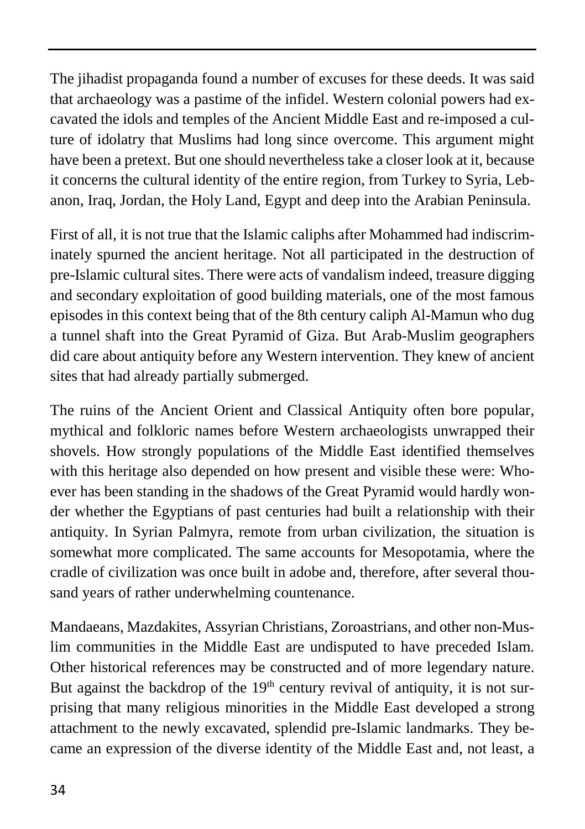The jihadist propaganda found a number of excuses for these deeds. It was said that archaeology was a pastime of the infidel. Western colonial powers had excavated the idols and temples of the Ancient Middle East and re-imposed a culture of idolatry that Muslims had long since overcome. This argument might have been a pretext. But one should nevertheless take a closer look at it, because it concerns the cultural identity of the entire region, from Turkey to Syria, Lebanon, Iraq, Jordan, the Holy Land, Egypt and deep into the Arabian Peninsula.

First of all, it is not true that the Islamic caliphs after Mohammed had indiscriminately spurned the ancient heritage. Not all participated in the destruction of pre-Islamic cultural sites. There were acts of vandalism indeed, treasure digging and secondary exploitation of good building materials, one of the most famous episodes in this context being that of the 8th century caliph Al-Mamun who dug a tunnel shaft into the Great Pyramid of Giza. But Arab-Muslim geographers did care about antiquity before any Western intervention. They knew of ancient sites that had already partially submerged.

The ruins of the Ancient Orient and Classical Antiquity often bore popular, mythical and folkloric names before Western archaeologists unwrapped their shovels. How strongly populations of the Middle East identified themselves with this heritage also depended on how present and visible these were: Whoever has been standing in the shadows of the Great Pyramid would hardly wonder whether the Egyptians of past centuries had built a relationship with their antiquity. In Syrian Palmyra, remote from urban civilization, the situation is somewhat more complicated. The same accounts for Mesopotamia, where the cradle of civilization was once built in adobe and, therefore, after several thousand years of rather underwhelming countenance.

Mandaeans, Mazdakites, Assyrian Christians, Zoroastrians, and other non-Muslim communities in the Middle East are undisputed to have preceded Islam. Other historical references may be constructed and of more legendary nature. But against the backdrop of the  $19<sup>th</sup>$  century revival of antiquity, it is not surprising that many religious minorities in the Middle East developed a strong attachment to the newly excavated, splendid pre-Islamic landmarks. They became an expression of the diverse identity of the Middle East and, not least, a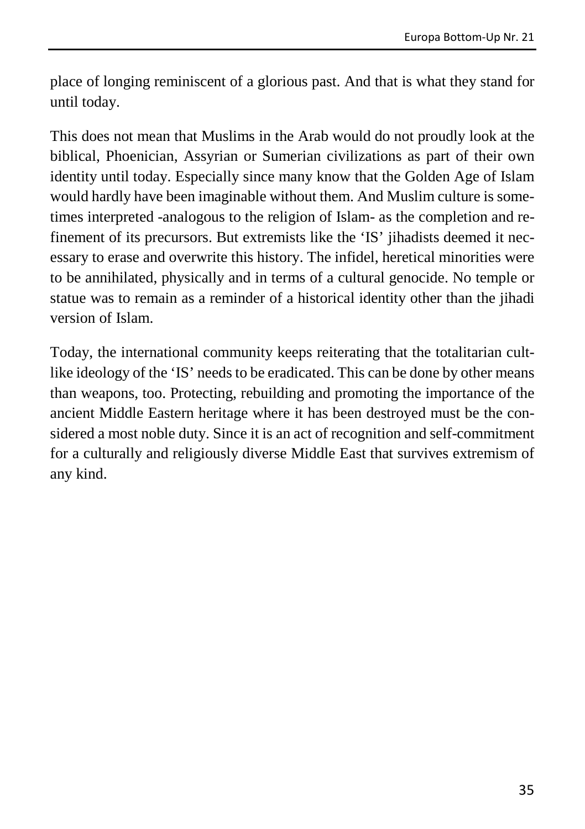place of longing reminiscent of a glorious past. And that is what they stand for until today.

This does not mean that Muslims in the Arab would do not proudly look at the biblical, Phoenician, Assyrian or Sumerian civilizations as part of their own identity until today. Especially since many know that the Golden Age of Islam would hardly have been imaginable without them. And Muslim culture is sometimes interpreted -analogous to the religion of Islam- as the completion and refinement of its precursors. But extremists like the 'IS' jihadists deemed it necessary to erase and overwrite this history. The infidel, heretical minorities were to be annihilated, physically and in terms of a cultural genocide. No temple or statue was to remain as a reminder of a historical identity other than the jihadi version of Islam.

Today, the international community keeps reiterating that the totalitarian cultlike ideology of the 'IS' needs to be eradicated. This can be done by other means than weapons, too. Protecting, rebuilding and promoting the importance of the ancient Middle Eastern heritage where it has been destroyed must be the considered a most noble duty. Since it is an act of recognition and self-commitment for a culturally and religiously diverse Middle East that survives extremism of any kind.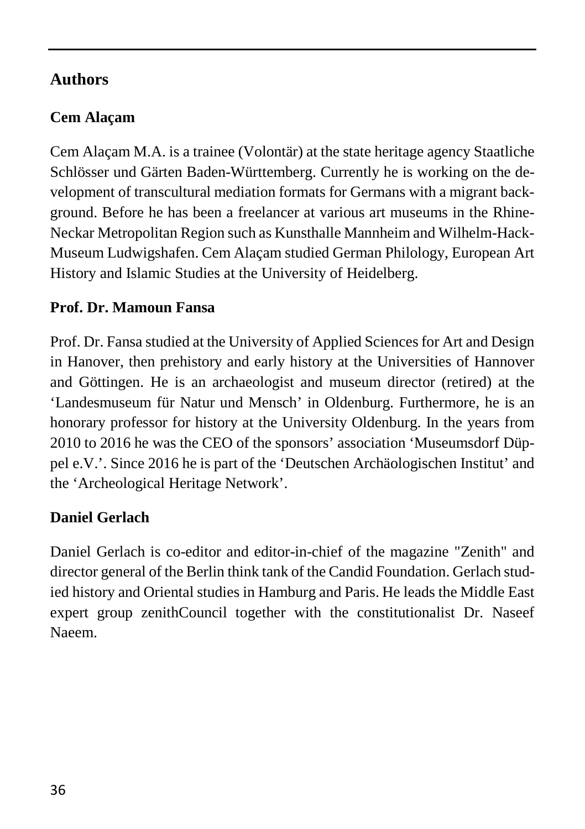# <span id="page-36-0"></span>**Authors**

# **Cem Alaçam**

Cem Alaçam M.A. is a trainee (Volontär) at the state heritage agency Staatliche Schlösser und Gärten Baden-Württemberg. Currently he is working on the development of transcultural mediation formats for Germans with a migrant background. Before he has been a freelancer at various art museums in the Rhine-Neckar Metropolitan Region such as Kunsthalle Mannheim and Wilhelm-Hack-Museum Ludwigshafen. Cem Alaçam studied German Philology, European Art History and Islamic Studies at the University of Heidelberg.

## **Prof. Dr. Mamoun Fansa**

Prof. Dr. Fansa studied at the University of Applied Sciences for Art and Design in Hanover, then prehistory and early history at the Universities of Hannover and Göttingen. He is an archaeologist and museum director (retired) at the 'Landesmuseum für Natur und Mensch' in Oldenburg. Furthermore, he is an honorary professor for history at the University Oldenburg. In the years from 2010 to 2016 he was the CEO of the sponsors' association 'Museumsdorf Düppel e.V.'. Since 2016 he is part of the 'Deutschen Archäologischen Institut' and the 'Archeological Heritage Network'.

# **Daniel Gerlach**

Daniel Gerlach is co-editor and editor-in-chief of the magazine "Zenith" and director general of the Berlin think tank of the Candid Foundation. Gerlach studied history and Oriental studies in Hamburg and Paris. He leads the Middle East expert group zenithCouncil together with the constitutionalist Dr. Naseef Naeem.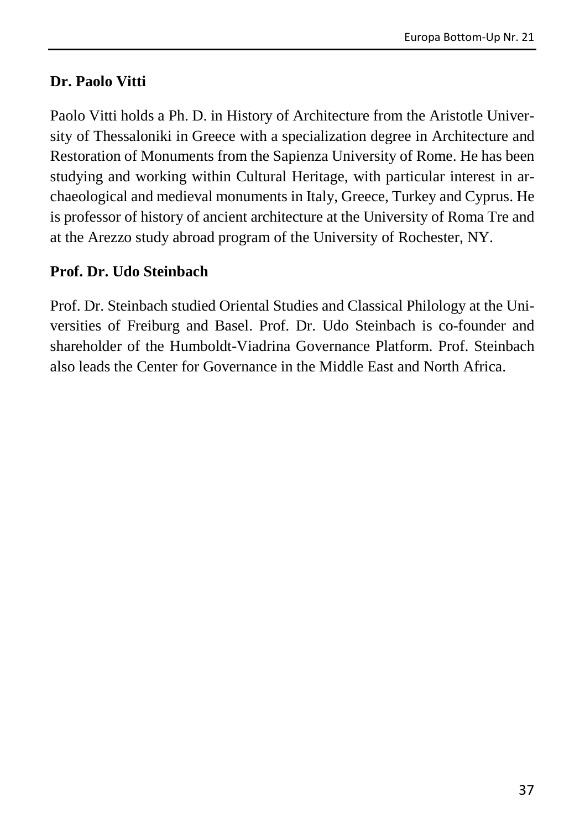#### **Dr. Paolo Vitti**

Paolo Vitti holds a Ph. D. in History of Architecture from the Aristotle University of Thessaloniki in Greece with a specialization degree in Architecture and Restoration of Monuments from the Sapienza University of Rome. He has been studying and working within Cultural Heritage, with particular interest in archaeological and medieval monuments in Italy, Greece, Turkey and Cyprus. He is professor of history of ancient architecture at the University of Roma Tre and at the Arezzo study abroad program of the University of Rochester, NY.

#### **Prof. Dr. Udo Steinbach**

Prof. Dr. Steinbach studied Oriental Studies and Classical Philology at the Universities of Freiburg and Basel. Prof. Dr. Udo Steinbach is co-founder and shareholder of the Humboldt-Viadrina Governance Platform. Prof. Steinbach also leads the Center for Governance in the Middle East and North Africa.